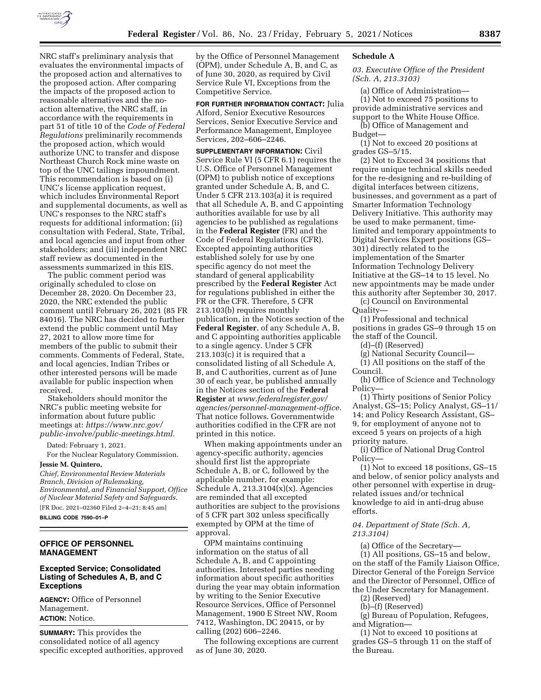

NRC staff's preliminary analysis that evaluates the environmental impacts of the proposed action and alternatives to the proposed action. After comparing the impacts of the proposed action to reasonable alternatives and the noaction alternative, the NRC staff, in accordance with the requirements in part 51 of title 10 of the *Code of Federal Regulations* preliminarily recommends the proposed action, which would authorize UNC to transfer and dispose Northeast Church Rock mine waste on top of the UNC tailings impoundment. This recommendation is based on (i) UNC's license application request, which includes Environmental Report and supplemental documents, as well as UNC's responses to the NRC staff's requests for additional information; (ii) consultation with Federal, State, Tribal, and local agencies and input from other stakeholders; and (iii) independent NRC staff review as documented in the assessments summarized in this EIS.

The public comment period was originally scheduled to close on December 28, 2020. On December 23, 2020, the NRC extended the public comment until February 26, 2021 (85 FR 84016). The NRC has decided to further extend the public comment until May 27, 2021 to allow more time for members of the public to submit their comments. Comments of Federal, State, and local agencies, Indian Tribes or other interested persons will be made available for public inspection when received.

Stakeholders should monitor the NRC's public meeting website for information about future public meetings at: *[https://www.nrc.gov/](https://www.nrc.gov/public-involve/public-meetings.html) [public-involve/public-meetings.html.](https://www.nrc.gov/public-involve/public-meetings.html)* 

Dated: February 1, 2021.

For the Nuclear Regulatory Commission. **Jessie M. Quintero,** 

*Chief, Environmental Review Materials Branch, Division of Rulemaking, Environmental, and Financial Support, Office of Nuclear Material Safety and Safeguards.*  [FR Doc. 2021–02360 Filed 2–4–21; 8:45 am]

**BILLING CODE 7590–01–P** 

## **OFFICE OF PERSONNEL MANAGEMENT**

#### **Excepted Service; Consolidated Listing of Schedules A, B, and C Exceptions**

**AGENCY:** Office of Personnel Management. **ACTION:** Notice.

**SUMMARY:** This provides the consolidated notice of all agency specific excepted authorities, approved by the Office of Personnel Management (OPM), under Schedule A, B, and C, as of June 30, 2020, as required by Civil Service Rule VI, Exceptions from the Competitive Service.

**FOR FURTHER INFORMATION CONTACT:** Julia Alford, Senior Executive Resources Services, Senior Executive Service and Performance Management, Employee Services, 202–606–2246.

**SUPPLEMENTARY INFORMATION:** Civil Service Rule VI (5 CFR 6.1) requires the U.S. Office of Personnel Management (OPM) to publish notice of exceptions granted under Schedule A, B, and C. Under 5 CFR 213.103(a) it is required that all Schedule A, B, and C appointing authorities available for use by all agencies to be published as regulations in the **Federal Register** (FR) and the Code of Federal Regulations (CFR). Excepted appointing authorities established solely for use by one specific agency do not meet the standard of general applicability prescribed by the **Federal Register** Act for regulations published in either the FR or the CFR. Therefore, 5 CFR 213.103(b) requires monthly publication, in the Notices section of the **Federal Register**, of any Schedule A, B, and C appointing authorities applicable to a single agency. Under 5 CFR 213.103(c) it is required that a consolidated listing of all Schedule A, B, and C authorities, current as of June 30 of each year, be published annually in the Notices section of the **Federal Register** at *[www.federalregister.gov/](http://www.federalregister.gov/agencies/personnel-management-office)  [agencies/personnel-management-office.](http://www.federalregister.gov/agencies/personnel-management-office)*  That notice follows. Governmentwide authorities codified in the CFR are not printed in this notice.

When making appointments under an agency-specific authority, agencies should first list the appropriate Schedule A, B, or C, followed by the applicable number, for example: Schedule A,  $213.3104(x)(x)$ . Agencies are reminded that all excepted authorities are subject to the provisions of 5 CFR part 302 unless specifically exempted by OPM at the time of approval.

OPM maintains continuing information on the status of all Schedule A, B, and C appointing authorities. Interested parties needing information about specific authorities during the year may obtain information by writing to the Senior Executive Resource Services, Office of Personnel Management, 1900 E Street NW, Room 7412, Washington, DC 20415, or by calling (202) 606–2246.

The following exceptions are current as of June 30, 2020.

### **Schedule A**

*03. Executive Office of the President (Sch. A, 213.3103)* 

(a) Office of Administration— (1) Not to exceed 75 positions to provide administrative services and support to the White House Office.

(b) Office of Management and Budget—

(1) Not to exceed 20 positions at grades GS–5/15.

(2) Not to Exceed 34 positions that require unique technical skills needed for the re-designing and re-building of digital interfaces between citizens, businesses, and government as a part of Smarter Information Technology Delivery Initiative. This authority may be used to make permanent, timelimited and temporary appointments to Digital Services Expert positions (GS– 301) directly related to the implementation of the Smarter Information Technology Delivery Initiative at the GS–14 to 15 level. No new appointments may be made under this authority after September 30, 2017.

(c) Council on Environmental Quality—

(1) Professional and technical positions in grades GS–9 through 15 on the staff of the Council.

(d)–(f) (Reserved)

(g) National Security Council—

(1) All positions on the staff of the Council.

(h) Office of Science and Technology Policy—

(1) Thirty positions of Senior Policy Analyst, GS–15; Policy Analyst, GS–11/ 14; and Policy Research Assistant, GS– 9, for employment of anyone not to exceed 5 years on projects of a high priority nature.

(i) Office of National Drug Control Policy—

(1) Not to exceed 18 positions, GS–15 and below, of senior policy analysts and other personnel with expertise in drugrelated issues and/or technical knowledge to aid in anti-drug abuse efforts.

# *04. Department of State (Sch. A, 213.3104)*

(a) Office of the Secretary— (1) All positions, GS–15 and below, on the staff of the Family Liaison Office, Director General of the Foreign Service and the Director of Personnel, Office of the Under Secretary for Management.

(2) (Reserved)

(b)–(f) (Reserved)

(g) Bureau of Population, Refugees, and Migration—

(1) Not to exceed 10 positions at grades GS–5 through 11 on the staff of the Bureau.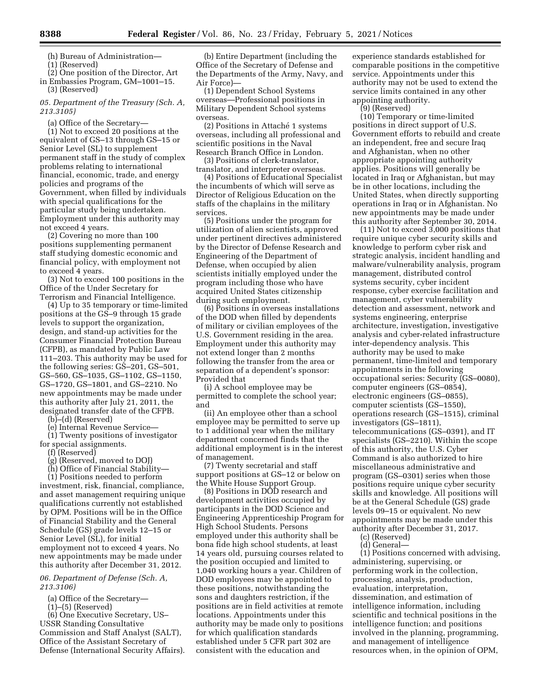(h) Bureau of Administration—

(1) (Reserved)

(2) One position of the Director, Art in Embassies Program, GM–1001–15. (3) (Reserved)

*05. Department of the Treasury (Sch. A, 213.3105)* 

(a) Office of the Secretary—

(1) Not to exceed 20 positions at the equivalent of GS–13 through GS–15 or Senior Level (SL) to supplement permanent staff in the study of complex problems relating to international financial, economic, trade, and energy policies and programs of the Government, when filled by individuals with special qualifications for the particular study being undertaken. Employment under this authority may not exceed 4 years.

(2) Covering no more than 100 positions supplementing permanent staff studying domestic economic and financial policy, with employment not to exceed 4 years.

(3) Not to exceed 100 positions in the Office of the Under Secretary for Terrorism and Financial Intelligence.

(4) Up to 35 temporary or time-limited positions at the GS–9 through 15 grade levels to support the organization, design, and stand-up activities for the Consumer Financial Protection Bureau (CFPB), as mandated by Public Law 111–203. This authority may be used for the following series: GS–201, GS–501, GS–560, GS–1035, GS–1102, GS–1150, GS–1720, GS–1801, and GS–2210. No new appointments may be made under this authority after July 21, 2011, the designated transfer date of the CFPB.

(b)–(d) (Reserved)

(e) Internal Revenue Service—

(1) Twenty positions of investigator for special assignments.

(f) (Reserved)

(g) (Reserved, moved to DOJ)

(h) Office of Financial Stability—

(1) Positions needed to perform investment, risk, financial, compliance, and asset management requiring unique qualifications currently not established by OPM. Positions will be in the Office of Financial Stability and the General Schedule (GS) grade levels 12–15 or Senior Level (SL), for initial employment not to exceed 4 years. No new appointments may be made under this authority after December 31, 2012.

#### *06. Department of Defense (Sch. A, 213.3106)*

(a) Office of the Secretary—

(1)–(5) (Reserved)

(6) One Executive Secretary, US– USSR Standing Consultative Commission and Staff Analyst (SALT), Office of the Assistant Secretary of Defense (International Security Affairs).

(b) Entire Department (including the Office of the Secretary of Defense and the Departments of the Army, Navy, and Air Force)—

(1) Dependent School Systems overseas—Professional positions in Military Dependent School systems overseas.

(2) Positions in Attaché 1 systems overseas, including all professional and scientific positions in the Naval Research Branch Office in London.

(3) Positions of clerk-translator, translator, and interpreter overseas.

(4) Positions of Educational Specialist the incumbents of which will serve as Director of Religious Education on the staffs of the chaplains in the military services.

(5) Positions under the program for utilization of alien scientists, approved under pertinent directives administered by the Director of Defense Research and Engineering of the Department of Defense, when occupied by alien scientists initially employed under the program including those who have acquired United States citizenship during such employment.

(6) Positions in overseas installations of the DOD when filled by dependents of military or civilian employees of the U.S. Government residing in the area. Employment under this authority may not extend longer than 2 months following the transfer from the area or separation of a dependent's sponsor: Provided that

(i) A school employee may be permitted to complete the school year; and

(ii) An employee other than a school employee may be permitted to serve up to 1 additional year when the military department concerned finds that the additional employment is in the interest of management.

(7) Twenty secretarial and staff support positions at GS–12 or below on the White House Support Group.

(8) Positions in DOD research and development activities occupied by participants in the DOD Science and Engineering Apprenticeship Program for High School Students. Persons employed under this authority shall be bona fide high school students, at least 14 years old, pursuing courses related to the position occupied and limited to 1,040 working hours a year. Children of DOD employees may be appointed to these positions, notwithstanding the sons and daughters restriction, if the positions are in field activities at remote locations. Appointments under this authority may be made only to positions for which qualification standards established under 5 CFR part 302 are consistent with the education and

experience standards established for comparable positions in the competitive service. Appointments under this authority may not be used to extend the service limits contained in any other appointing authority.

(9) (Reserved)

(10) Temporary or time-limited positions in direct support of U.S. Government efforts to rebuild and create an independent, free and secure Iraq and Afghanistan, when no other appropriate appointing authority applies. Positions will generally be located in Iraq or Afghanistan, but may be in other locations, including the United States, when directly supporting operations in Iraq or in Afghanistan. No new appointments may be made under this authority after September 30, 2014.

(11) Not to exceed 3,000 positions that require unique cyber security skills and knowledge to perform cyber risk and strategic analysis, incident handling and malware/vulnerability analysis, program management, distributed control systems security, cyber incident response, cyber exercise facilitation and management, cyber vulnerability detection and assessment, network and systems engineering, enterprise architecture, investigation, investigative analysis and cyber-related infrastructure inter-dependency analysis. This authority may be used to make permanent, time-limited and temporary appointments in the following occupational series: Security (GS–0080), computer engineers (GS–0854), electronic engineers (GS–0855), computer scientists (GS–1550), operations research (GS–1515), criminal investigators (GS–1811), telecommunications (GS–0391), and IT specialists (GS–2210). Within the scope of this authority, the U.S. Cyber Command is also authorized to hire miscellaneous administrative and program (GS–0301) series when those positions require unique cyber security skills and knowledge. All positions will be at the General Schedule (GS) grade levels 09–15 or equivalent. No new appointments may be made under this authority after December 31, 2017.

(c) (Reserved)

(d) General— (1) Positions concerned with advising, administering, supervising, or performing work in the collection, processing, analysis, production, evaluation, interpretation, dissemination, and estimation of intelligence information, including scientific and technical positions in the intelligence function; and positions involved in the planning, programming, and management of intelligence resources when, in the opinion of OPM,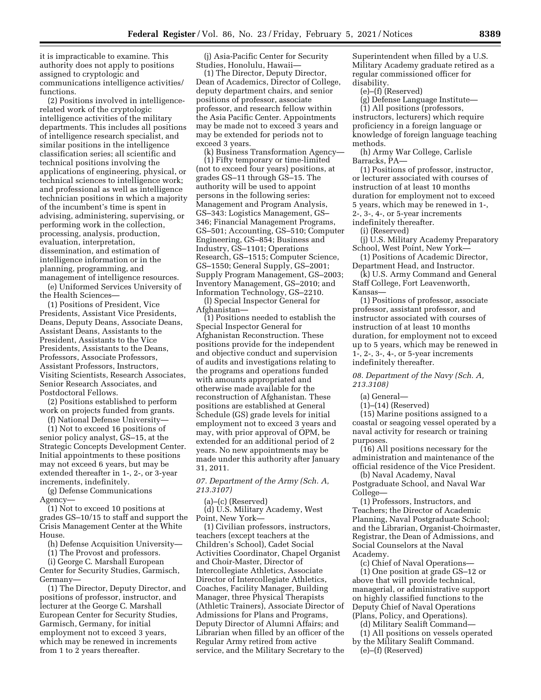it is impracticable to examine. This authority does not apply to positions assigned to cryptologic and communications intelligence activities/ functions.

(2) Positions involved in intelligencerelated work of the cryptologic intelligence activities of the military departments. This includes all positions of intelligence research specialist, and similar positions in the intelligence classification series; all scientific and technical positions involving the applications of engineering, physical, or technical sciences to intelligence work; and professional as well as intelligence technician positions in which a majority of the incumbent's time is spent in advising, administering, supervising, or performing work in the collection, processing, analysis, production, evaluation, interpretation, dissemination, and estimation of intelligence information or in the planning, programming, and management of intelligence resources.

(e) Uniformed Services University of the Health Sciences—

(1) Positions of President, Vice Presidents, Assistant Vice Presidents, Deans, Deputy Deans, Associate Deans, Assistant Deans, Assistants to the President, Assistants to the Vice Presidents, Assistants to the Deans, Professors, Associate Professors, Assistant Professors, Instructors, Visiting Scientists, Research Associates, Senior Research Associates, and Postdoctoral Fellows.

(2) Positions established to perform work on projects funded from grants.

(f) National Defense University—

(1) Not to exceed 16 positions of senior policy analyst, GS–15, at the Strategic Concepts Development Center. Initial appointments to these positions may not exceed 6 years, but may be extended thereafter in 1-, 2-, or 3-year increments, indefinitely.

(g) Defense Communications Agency—

(1) Not to exceed 10 positions at grades GS–10/15 to staff and support the Crisis Management Center at the White House.

(h) Defense Acquisition University—

(1) The Provost and professors.

(i) George C. Marshall European Center for Security Studies, Garmisch, Germany—

(1) The Director, Deputy Director, and positions of professor, instructor, and lecturer at the George C. Marshall European Center for Security Studies, Garmisch, Germany, for initial employment not to exceed 3 years, which may be renewed in increments from 1 to 2 years thereafter.

(j) Asia-Pacific Center for Security Studies, Honolulu, Hawaii—

(1) The Director, Deputy Director, Dean of Academics, Director of College, deputy department chairs, and senior positions of professor, associate professor, and research fellow within the Asia Pacific Center. Appointments may be made not to exceed 3 years and may be extended for periods not to exceed 3 years.

(k) Business Transformation Agency— (1) Fifty temporary or time-limited (not to exceed four years) positions, at grades GS–11 through GS–15. The authority will be used to appoint persons in the following series: Management and Program Analysis, GS–343: Logistics Management, GS– 346; Financial Management Programs, GS–501; Accounting, GS–510; Computer Engineering, GS–854; Business and Industry, GS–1101; Operations Research, GS–1515; Computer Science, GS–1550; General Supply, GS–2001; Supply Program Management, GS–2003; Inventory Management, GS–2010; and Information Technology, GS–2210.

(l) Special Inspector General for Afghanistan—

(1) Positions needed to establish the Special Inspector General for Afghanistan Reconstruction. These positions provide for the independent and objective conduct and supervision of audits and investigations relating to the programs and operations funded with amounts appropriated and otherwise made available for the reconstruction of Afghanistan. These positions are established at General Schedule (GS) grade levels for initial employment not to exceed 3 years and may, with prior approval of OPM, be extended for an additional period of 2 years. No new appointments may be made under this authority after January 31, 2011.

*07. Department of the Army (Sch. A, 213.3107)* 

(a)–(c) (Reserved)

(d) U.S. Military Academy, West Point, New York—

(1) Civilian professors, instructors, teachers (except teachers at the Children's School), Cadet Social Activities Coordinator, Chapel Organist and Choir-Master, Director of Intercollegiate Athletics, Associate Director of Intercollegiate Athletics, Coaches, Facility Manager, Building Manager, three Physical Therapists (Athletic Trainers), Associate Director of Admissions for Plans and Programs, Deputy Director of Alumni Affairs; and Librarian when filled by an officer of the Regular Army retired from active service, and the Military Secretary to the

Superintendent when filled by a U.S. Military Academy graduate retired as a regular commissioned officer for disability.

(e)–(f) (Reserved)

(g) Defense Language Institute—

(1) All positions (professors, instructors, lecturers) which require proficiency in a foreign language or knowledge of foreign language teaching methods.

(h) Army War College, Carlisle Barracks, PA—

(1) Positions of professor, instructor, or lecturer associated with courses of instruction of at least 10 months duration for employment not to exceed 5 years, which may be renewed in 1-, 2-, 3-, 4-, or 5-year increments

indefinitely thereafter. (i) (Reserved)

(j) U.S. Military Academy Preparatory School, West Point, New York—

(1) Positions of Academic Director, Department Head, and Instructor.

(k) U.S. Army Command and General Staff College, Fort Leavenworth,

Kansas—

(1) Positions of professor, associate professor, assistant professor, and instructor associated with courses of instruction of at least 10 months duration, for employment not to exceed up to 5 years, which may be renewed in 1-, 2-, 3-, 4-, or 5-year increments indefinitely thereafter.

*08. Department of the Navy (Sch. A, 213.3108)* 

(a) General—

(1)–(14) (Reserved)

(15) Marine positions assigned to a coastal or seagoing vessel operated by a naval activity for research or training purposes.

(16) All positions necessary for the administration and maintenance of the official residence of the Vice President.

(b) Naval Academy, Naval Postgraduate School, and Naval War College—

(1) Professors, Instructors, and Teachers; the Director of Academic Planning, Naval Postgraduate School; and the Librarian, Organist-Choirmaster, Registrar, the Dean of Admissions, and Social Counselors at the Naval Academy.

(c) Chief of Naval Operations— (1) One position at grade GS–12 or above that will provide technical, managerial, or administrative support on highly classified functions to the Deputy Chief of Naval Operations (Plans, Policy, and Operations).

(d) Military Sealift Command—

(1) All positions on vessels operated by the Military Sealift Command. (e)–(f) (Reserved)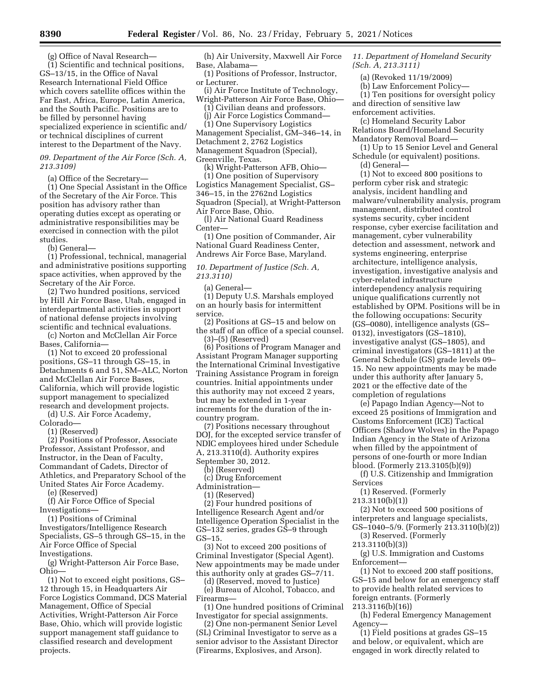(g) Office of Naval Research— (1) Scientific and technical positions, GS–13/15, in the Office of Naval Research International Field Office which covers satellite offices within the Far East, Africa, Europe, Latin America, and the South Pacific. Positions are to be filled by personnel having specialized experience in scientific and/ or technical disciplines of current interest to the Department of the Navy.

#### *09. Department of the Air Force (Sch. A, 213.3109)*

(a) Office of the Secretary—

(1) One Special Assistant in the Office of the Secretary of the Air Force. This position has advisory rather than operating duties except as operating or administrative responsibilities may be exercised in connection with the pilot studies.

(b) General—

(1) Professional, technical, managerial and administrative positions supporting space activities, when approved by the Secretary of the Air Force.

(2) Two hundred positions, serviced by Hill Air Force Base, Utah, engaged in interdepartmental activities in support of national defense projects involving scientific and technical evaluations.

(c) Norton and McClellan Air Force Bases, California—

(1) Not to exceed 20 professional positions, GS–11 through GS–15, in Detachments 6 and 51, SM–ALC, Norton and McClellan Air Force Bases, California, which will provide logistic support management to specialized research and development projects.

(d) U.S. Air Force Academy,

Colorado—

(1) (Reserved)

(2) Positions of Professor, Associate Professor, Assistant Professor, and Instructor, in the Dean of Faculty, Commandant of Cadets, Director of Athletics, and Preparatory School of the United States Air Force Academy.

(e) (Reserved)

(f) Air Force Office of Special Investigations—

(1) Positions of Criminal Investigators/Intelligence Research Specialists, GS–5 through GS–15, in the Air Force Office of Special Investigations.

(g) Wright-Patterson Air Force Base, Ohio—

(1) Not to exceed eight positions, GS– 12 through 15, in Headquarters Air Force Logistics Command, DCS Material Management, Office of Special Activities, Wright-Patterson Air Force Base, Ohio, which will provide logistic support management staff guidance to classified research and development projects.

(h) Air University, Maxwell Air Force Base, Alabama—

(1) Positions of Professor, Instructor, or Lecturer.

(i) Air Force Institute of Technology, Wright-Patterson Air Force Base, Ohio—

(1) Civilian deans and professors. (j) Air Force Logistics Command—

(1) One Supervisory Logistics Management Specialist, GM–346–14, in Detachment 2, 2762 Logistics Management Squadron (Special), Greenville, Texas.

(k) Wright-Patterson AFB, Ohio— (1) One position of Supervisory Logistics Management Specialist, GS– 346–15, in the 2762nd Logistics Squadron (Special), at Wright-Patterson Air Force Base, Ohio.

(l) Air National Guard Readiness Center—

(1) One position of Commander, Air National Guard Readiness Center, Andrews Air Force Base, Maryland.

*10. Department of Justice (Sch. A, 213.3110)* 

(a) General—

(1) Deputy U.S. Marshals employed on an hourly basis for intermittent service.

(2) Positions at GS–15 and below on the staff of an office of a special counsel. (3)–(5) (Reserved)

(6) Positions of Program Manager and Assistant Program Manager supporting the International Criminal Investigative Training Assistance Program in foreign countries. Initial appointments under this authority may not exceed 2 years, but may be extended in 1-year increments for the duration of the incountry program.

(7) Positions necessary throughout DOJ, for the excepted service transfer of NDIC employees hired under Schedule A, 213.3110(d). Authority expires September 30, 2012.

(b) (Reserved)

(c) Drug Enforcement

Administration—

(1) (Reserved)

(2) Four hundred positions of Intelligence Research Agent and/or Intelligence Operation Specialist in the GS–132 series, grades GS–9 through GS–15.

(3) Not to exceed 200 positions of Criminal Investigator (Special Agent). New appointments may be made under this authority only at grades GS–7/11.

(d) (Reserved, moved to Justice) (e) Bureau of Alcohol, Tobacco, and Firearms—

(1) One hundred positions of Criminal Investigator for special assignments.

(2) One non-permanent Senior Level (SL) Criminal Investigator to serve as a senior advisor to the Assistant Director (Firearms, Explosives, and Arson).

*11. Department of Homeland Security (Sch. A, 213.3111)* 

(a) (Revoked 11/19/2009)

(b) Law Enforcement Policy—

(1) Ten positions for oversight policy and direction of sensitive law

enforcement activities.

(c) Homeland Security Labor Relations Board/Homeland Security Mandatory Removal Board—

(1) Up to 15 Senior Level and General Schedule (or equivalent) positions. (d) General—

(1) Not to exceed 800 positions to perform cyber risk and strategic analysis, incident handling and malware/vulnerability analysis, program management, distributed control systems security, cyber incident response, cyber exercise facilitation and management, cyber vulnerability detection and assessment, network and systems engineering, enterprise architecture, intelligence analysis, investigation, investigative analysis and cyber-related infrastructure interdependency analysis requiring unique qualifications currently not established by OPM. Positions will be in the following occupations: Security (GS–0080), intelligence analysts (GS– 0132), investigators (GS–1810), investigative analyst (GS–1805), and criminal investigators (GS–1811) at the General Schedule (GS) grade levels 09– 15. No new appointments may be made under this authority after January 5, 2021 or the effective date of the completion of regulations

(e) Papago Indian Agency—Not to exceed 25 positions of Immigration and Customs Enforcement (ICE) Tactical Officers (Shadow Wolves) in the Papago Indian Agency in the State of Arizona when filled by the appointment of persons of one-fourth or more Indian blood. (Formerly 213.3105(b)(9))

(f) U.S. Citizenship and Immigration Services

(1) Reserved. (Formerly

213.3110(b)(1))

(2) Not to exceed 500 positions of interpreters and language specialists, GS–1040–5/9. (Formerly 213.3110(b)(2))

(3) Reserved. (Formerly

213.3110(b)(3))

(g) U.S. Immigration and Customs Enforcement—

(1) Not to exceed 200 staff positions, GS–15 and below for an emergency staff to provide health related services to foreign entrants. (Formerly

213.3116(b)(16))

(h) Federal Emergency Management Agency—

(1) Field positions at grades GS–15 and below, or equivalent, which are engaged in work directly related to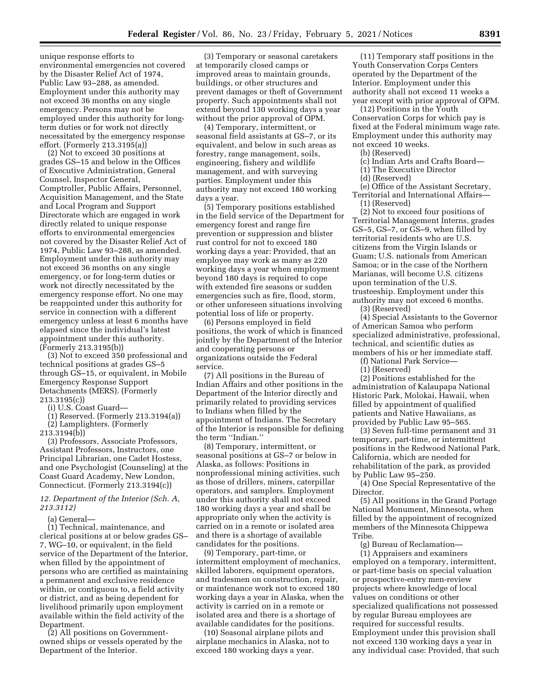unique response efforts to environmental emergencies not covered by the Disaster Relief Act of 1974, Public Law 93–288, as amended. Employment under this authority may not exceed 36 months on any single emergency. Persons may not be employed under this authority for longterm duties or for work not directly necessitated by the emergency response effort. (Formerly 213.3195(a))

(2) Not to exceed 30 positions at grades GS–15 and below in the Offices of Executive Administration, General Counsel, Inspector General, Comptroller, Public Affairs, Personnel, Acquisition Management, and the State and Local Program and Support Directorate which are engaged in work directly related to unique response efforts to environmental emergencies not covered by the Disaster Relief Act of 1974, Public Law 93–288, as amended. Employment under this authority may not exceed 36 months on any single emergency, or for long-term duties or work not directly necessitated by the emergency response effort. No one may be reappointed under this authority for service in connection with a different emergency unless at least 6 months have elapsed since the individual's latest appointment under this authority. (Formerly 213.3195(b))

(3) Not to exceed 350 professional and technical positions at grades GS–5 through GS–15, or equivalent, in Mobile Emergency Response Support Detachments (MERS). (Formerly 213.3195(c))

(i) U.S. Coast Guard—

(1) Reserved. (Formerly 213.3194(a)) (2) Lamplighters. (Formerly

213.3194(b))

(3) Professors, Associate Professors, Assistant Professors, Instructors, one Principal Librarian, one Cadet Hostess, and one Psychologist (Counseling) at the Coast Guard Academy, New London, Connecticut. (Formerly 213.3194(c))

*12. Department of the Interior (Sch. A, 213.3112)* 

(a) General—

(1) Technical, maintenance, and clerical positions at or below grades GS– 7, WG–10, or equivalent, in the field service of the Department of the Interior, when filled by the appointment of persons who are certified as maintaining a permanent and exclusive residence within, or contiguous to, a field activity or district, and as being dependent for livelihood primarily upon employment available within the field activity of the Department.

(2) All positions on Governmentowned ships or vessels operated by the Department of the Interior.

(3) Temporary or seasonal caretakers at temporarily closed camps or improved areas to maintain grounds, buildings, or other structures and prevent damages or theft of Government property. Such appointments shall not extend beyond 130 working days a year without the prior approval of OPM.

(4) Temporary, intermittent, or seasonal field assistants at GS–7, or its equivalent, and below in such areas as forestry, range management, soils, engineering, fishery and wildlife management, and with surveying parties. Employment under this authority may not exceed 180 working days a year.

(5) Temporary positions established in the field service of the Department for emergency forest and range fire prevention or suppression and blister rust control for not to exceed 180 working days a year: Provided, that an employee may work as many as 220 working days a year when employment beyond 180 days is required to cope with extended fire seasons or sudden emergencies such as fire, flood, storm, or other unforeseen situations involving potential loss of life or property.

(6) Persons employed in field positions, the work of which is financed jointly by the Department of the Interior and cooperating persons or organizations outside the Federal service.

(7) All positions in the Bureau of Indian Affairs and other positions in the Department of the Interior directly and primarily related to providing services to Indians when filled by the appointment of Indians. The Secretary of the Interior is responsible for defining the term ''Indian.''

(8) Temporary, intermittent, or seasonal positions at GS–7 or below in Alaska, as follows: Positions in nonprofessional mining activities, such as those of drillers, miners, caterpillar operators, and samplers. Employment under this authority shall not exceed 180 working days a year and shall be appropriate only when the activity is carried on in a remote or isolated area and there is a shortage of available candidates for the positions.

(9) Temporary, part-time, or intermittent employment of mechanics, skilled laborers, equipment operators, and tradesmen on construction, repair, or maintenance work not to exceed 180 working days a year in Alaska, when the activity is carried on in a remote or isolated area and there is a shortage of available candidates for the positions.

(10) Seasonal airplane pilots and airplane mechanics in Alaska, not to exceed 180 working days a year.

(11) Temporary staff positions in the Youth Conservation Corps Centers operated by the Department of the Interior. Employment under this authority shall not exceed 11 weeks a year except with prior approval of OPM.

(12) Positions in the Youth Conservation Corps for which pay is fixed at the Federal minimum wage rate. Employment under this authority may not exceed 10 weeks.

(b) (Reserved)

- (c) Indian Arts and Crafts Board—
- (1) The Executive Director
- (d) (Reserved)

(e) Office of the Assistant Secretary, Territorial and International Affairs—

(1) (Reserved)

(2) Not to exceed four positions of Territorial Management Interns, grades GS–5, GS–7, or GS–9, when filled by territorial residents who are U.S. citizens from the Virgin Islands or Guam; U.S. nationals from American Samoa; or in the case of the Northern Marianas, will become U.S. citizens upon termination of the U.S. trusteeship. Employment under this authority may not exceed 6 months. (3) (Reserved)

(4) Special Assistants to the Governor of American Samoa who perform specialized administrative, professional, technical, and scientific duties as members of his or her immediate staff.

(f) National Park Service—

(1) (Reserved)

(2) Positions established for the administration of Kalaupapa National Historic Park, Molokai, Hawaii, when filled by appointment of qualified patients and Native Hawaiians, as provided by Public Law 95–565.

(3) Seven full-time permanent and 31 temporary, part-time, or intermittent positions in the Redwood National Park, California, which are needed for rehabilitation of the park, as provided by Public Law 95–250.

(4) One Special Representative of the Director.

(5) All positions in the Grand Portage National Monument, Minnesota, when filled by the appointment of recognized members of the Minnesota Chippewa Tribe.

(g) Bureau of Reclamation— (1) Appraisers and examiners employed on a temporary, intermittent, or part-time basis on special valuation or prospective-entry men-review projects where knowledge of local values on conditions or other specialized qualifications not possessed by regular Bureau employees are required for successful results. Employment under this provision shall not exceed 130 working days a year in any individual case: Provided, that such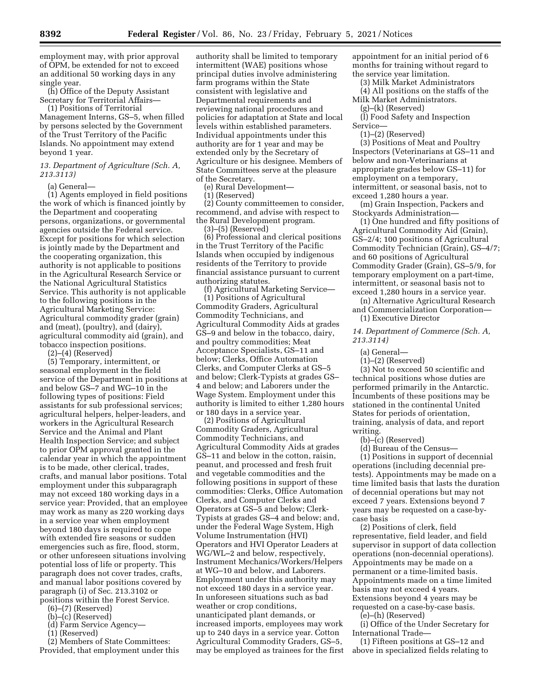employment may, with prior approval of OPM, be extended for not to exceed an additional 50 working days in any single year.

(h) Office of the Deputy Assistant Secretary for Territorial Affairs—

(1) Positions of Territorial Management Interns, GS–5, when filled by persons selected by the Government of the Trust Territory of the Pacific Islands. No appointment may extend beyond 1 year.

### *13. Department of Agriculture (Sch. A, 213.3113)*

(a) General—

(1) Agents employed in field positions the work of which is financed jointly by the Department and cooperating persons, organizations, or governmental agencies outside the Federal service. Except for positions for which selection is jointly made by the Department and the cooperating organization, this authority is not applicable to positions in the Agricultural Research Service or the National Agricultural Statistics Service. This authority is not applicable to the following positions in the Agricultural Marketing Service: Agricultural commodity grader (grain) and (meat), (poultry), and (dairy), agricultural commodity aid (grain), and tobacco inspection positions.

(2)–(4) (Reserved)

(5) Temporary, intermittent, or seasonal employment in the field service of the Department in positions at and below GS–7 and WG–10 in the following types of positions: Field assistants for sub professional services; agricultural helpers, helper-leaders, and workers in the Agricultural Research Service and the Animal and Plant Health Inspection Service; and subject to prior OPM approval granted in the calendar year in which the appointment is to be made, other clerical, trades, crafts, and manual labor positions. Total employment under this subparagraph may not exceed 180 working days in a service year: Provided, that an employee may work as many as 220 working days in a service year when employment beyond 180 days is required to cope with extended fire seasons or sudden emergencies such as fire, flood, storm, or other unforeseen situations involving potential loss of life or property. This paragraph does not cover trades, crafts, and manual labor positions covered by paragraph (i) of Sec. 213.3102 or positions within the Forest Service.

- (6)–(7) (Reserved)
- (b)–(c) (Reserved)
- (d) Farm Service Agency—
- (1) (Reserved)

(2) Members of State Committees: Provided, that employment under this authority shall be limited to temporary intermittent (WAE) positions whose principal duties involve administering farm programs within the State consistent with legislative and Departmental requirements and reviewing national procedures and policies for adaptation at State and local levels within established parameters. Individual appointments under this authority are for 1 year and may be extended only by the Secretary of Agriculture or his designee. Members of State Committees serve at the pleasure of the Secretary.

(e) Rural Development—

(1) (Reserved)

(2) County committeemen to consider, recommend, and advise with respect to the Rural Development program. (3)–(5) (Reserved)

(6) Professional and clerical positions in the Trust Territory of the Pacific Islands when occupied by indigenous residents of the Territory to provide financial assistance pursuant to current authorizing statutes.

(f) Agricultural Marketing Service— (1) Positions of Agricultural Commodity Graders, Agricultural Commodity Technicians, and Agricultural Commodity Aids at grades GS–9 and below in the tobacco, dairy, and poultry commodities; Meat Acceptance Specialists, GS–11 and below; Clerks, Office Automation Clerks, and Computer Clerks at GS–5 and below; Clerk-Typists at grades GS– 4 and below; and Laborers under the Wage System. Employment under this authority is limited to either 1,280 hours or 180 days in a service year.

(2) Positions of Agricultural Commodity Graders, Agricultural Commodity Technicians, and Agricultural Commodity Aids at grades GS–11 and below in the cotton, raisin, peanut, and processed and fresh fruit and vegetable commodities and the following positions in support of these commodities: Clerks, Office Automation Clerks, and Computer Clerks and Operators at GS–5 and below; Clerk-Typists at grades GS–4 and below; and, under the Federal Wage System, High Volume Instrumentation (HVI) Operators and HVI Operator Leaders at WG/WL–2 and below, respectively, Instrument Mechanics/Workers/Helpers at WG–10 and below, and Laborers. Employment under this authority may not exceed 180 days in a service year. In unforeseen situations such as bad weather or crop conditions, unanticipated plant demands, or increased imports, employees may work up to 240 days in a service year. Cotton Agricultural Commodity Graders, GS–5, may be employed as trainees for the first appointment for an initial period of 6 months for training without regard to the service year limitation.

- (3) Milk Market Administrators
- (4) All positions on the staffs of the Milk Market Administrators.

(g)–(k) (Reserved)

(l) Food Safety and Inspection Service—

(1)–(2) (Reserved)

(3) Positions of Meat and Poultry Inspectors (Veterinarians at GS–11 and below and non-Veterinarians at appropriate grades below GS–11) for employment on a temporary, intermittent, or seasonal basis, not to exceed 1,280 hours a year.

(m) Grain Inspection, Packers and Stockyards Administration—

(1) One hundred and fifty positions of Agricultural Commodity Aid (Grain), GS–2/4; 100 positions of Agricultural Commodity Technician (Grain), GS–4/7; and 60 positions of Agricultural Commodity Grader (Grain), GS–5/9, for temporary employment on a part-time, intermittent, or seasonal basis not to exceed 1,280 hours in a service year.

(n) Alternative Agricultural Research and Commercialization Corporation— (1) Executive Director

*14. Department of Commerce (Sch. A, 213.3114)* 

- (a) General—
- (1)–(2) (Reserved)

(3) Not to exceed 50 scientific and technical positions whose duties are performed primarily in the Antarctic. Incumbents of these positions may be stationed in the continental United States for periods of orientation, training, analysis of data, and report writing.

- (b)–(c) (Reserved)
- (d) Bureau of the Census—

(1) Positions in support of decennial operations (including decennial pretests). Appointments may be made on a time limited basis that lasts the duration of decennial operations but may not exceed 7 years. Extensions beyond 7 years may be requested on a case-bycase basis

(2) Positions of clerk, field representative, field leader, and field supervisor in support of data collection operations (non-decennial operations). Appointments may be made on a permanent or a time-limited basis. Appointments made on a time limited basis may not exceed 4 years. Extensions beyond 4 years may be requested on a case-by-case basis.

(e)–(h) (Reserved)

(i) Office of the Under Secretary for International Trade—

(1) Fifteen positions at GS–12 and above in specialized fields relating to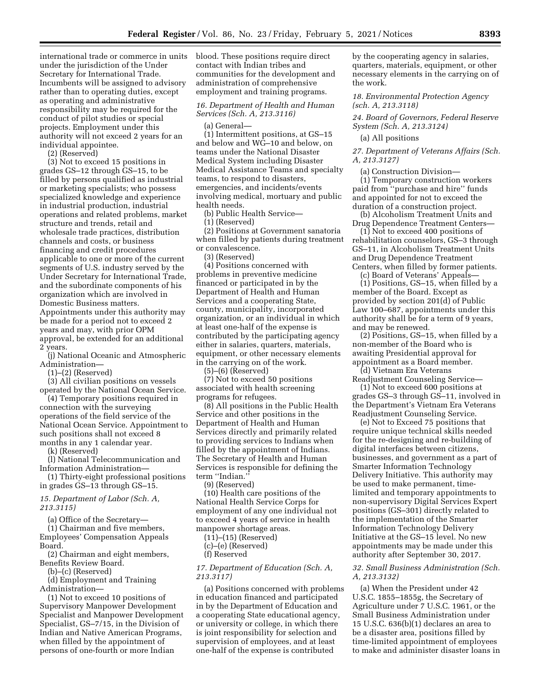international trade or commerce in units under the jurisdiction of the Under Secretary for International Trade. Incumbents will be assigned to advisory rather than to operating duties, except as operating and administrative responsibility may be required for the conduct of pilot studies or special projects. Employment under this authority will not exceed 2 years for an individual appointee.

(2) (Reserved)

(3) Not to exceed 15 positions in grades GS–12 through GS–15, to be filled by persons qualified as industrial or marketing specialists; who possess specialized knowledge and experience in industrial production, industrial operations and related problems, market structure and trends, retail and wholesale trade practices, distribution channels and costs, or business financing and credit procedures applicable to one or more of the current segments of U.S. industry served by the Under Secretary for International Trade, and the subordinate components of his organization which are involved in Domestic Business matters. Appointments under this authority may be made for a period not to exceed 2 years and may, with prior OPM

approval, be extended for an additional 2 years.

(j) National Oceanic and Atmospheric Administration—

(1)–(2) (Reserved)

(3) All civilian positions on vessels operated by the National Ocean Service.

(4) Temporary positions required in connection with the surveying operations of the field service of the National Ocean Service. Appointment to such positions shall not exceed 8 months in any 1 calendar year.

(k) (Reserved)

(l) National Telecommunication and Information Administration—

(1) Thirty-eight professional positions in grades GS–13 through GS–15.

*15. Department of Labor (Sch. A, 213.3115)* 

(a) Office of the Secretary—

(1) Chairman and five members, Employees' Compensation Appeals Board.

(2) Chairman and eight members, Benefits Review Board.

(b)–(c) (Reserved)

(d) Employment and Training

Administration—

(1) Not to exceed 10 positions of Supervisory Manpower Development Specialist and Manpower Development Specialist, GS–7/15, in the Division of Indian and Native American Programs, when filled by the appointment of persons of one-fourth or more Indian

blood. These positions require direct contact with Indian tribes and communities for the development and administration of comprehensive employment and training programs.

### *16. Department of Health and Human Services (Sch. A, 213.3116)*

(a) General—

(1) Intermittent positions, at GS–15 and below and WG–10 and below, on teams under the National Disaster Medical System including Disaster Medical Assistance Teams and specialty teams, to respond to disasters, emergencies, and incidents/events involving medical, mortuary and public health needs.

(b) Public Health Service—

(1) (Reserved)

(2) Positions at Government sanatoria when filled by patients during treatment or convalescence.

(3) (Reserved)

(4) Positions concerned with problems in preventive medicine financed or participated in by the Department of Health and Human Services and a cooperating State, county, municipality, incorporated organization, or an individual in which at least one-half of the expense is contributed by the participating agency either in salaries, quarters, materials, equipment, or other necessary elements in the carrying on of the work.

(5)–(6) (Reserved)

(7) Not to exceed 50 positions associated with health screening programs for refugees.

(8) All positions in the Public Health Service and other positions in the Department of Health and Human Services directly and primarily related to providing services to Indians when filled by the appointment of Indians. The Secretary of Health and Human Services is responsible for defining the term ''Indian.''

(9) (Reserved)

(10) Health care positions of the National Health Service Corps for employment of any one individual not to exceed 4 years of service in health manpower shortage areas.

(11)–(15) (Reserved)

(c)–(e) (Reserved)

(f) Reserved

#### *17. Department of Education (Sch. A, 213.3117)*

(a) Positions concerned with problems in education financed and participated in by the Department of Education and a cooperating State educational agency, or university or college, in which there is joint responsibility for selection and supervision of employees, and at least one-half of the expense is contributed

by the cooperating agency in salaries, quarters, materials, equipment, or other necessary elements in the carrying on of the work.

*18. Environmental Protection Agency (sch. A, 213.3118)* 

*24. Board of Governors, Federal Reserve System (Sch. A, 213.3124)* 

(a) All positions

*27. Department of Veterans Affairs (Sch. A, 213.3127)* 

(a) Construction Division—

(1) Temporary construction workers paid from ''purchase and hire'' funds and appointed for not to exceed the duration of a construction project.

(b) Alcoholism Treatment Units and Drug Dependence Treatment Centers—

(1) Not to exceed 400 positions of rehabilitation counselors, GS–3 through GS–11, in Alcoholism Treatment Units and Drug Dependence Treatment Centers, when filled by former patients.

(c) Board of Veterans' Appeals— (1) Positions, GS–15, when filled by a member of the Board. Except as provided by section 201(d) of Public Law 100–687, appointments under this authority shall be for a term of 9 years, and may be renewed.

(2) Positions, GS–15, when filled by a non-member of the Board who is awaiting Presidential approval for appointment as a Board member.

(d) Vietnam Era Veterans Readjustment Counseling Service—

(1) Not to exceed 600 positions at grades GS–3 through GS–11, involved in the Department's Vietnam Era Veterans Readjustment Counseling Service.

(e) Not to Exceed 75 positions that require unique technical skills needed for the re-designing and re-building of digital interfaces between citizens, businesses, and government as a part of Smarter Information Technology Delivery Initiative. This authority may be used to make permanent, timelimited and temporary appointments to non-supervisory Digital Services Expert positions (GS–301) directly related to the implementation of the Smarter Information Technology Delivery Initiative at the GS–15 level. No new appointments may be made under this authority after September 30, 2017.

#### *32. Small Business Administration (Sch. A, 213.3132)*

(a) When the President under 42 U.S.C. 1855–1855g, the Secretary of Agriculture under 7 U.S.C. 1961, or the Small Business Administration under 15 U.S.C. 636(b)(1) declares an area to be a disaster area, positions filled by time-limited appointment of employees to make and administer disaster loans in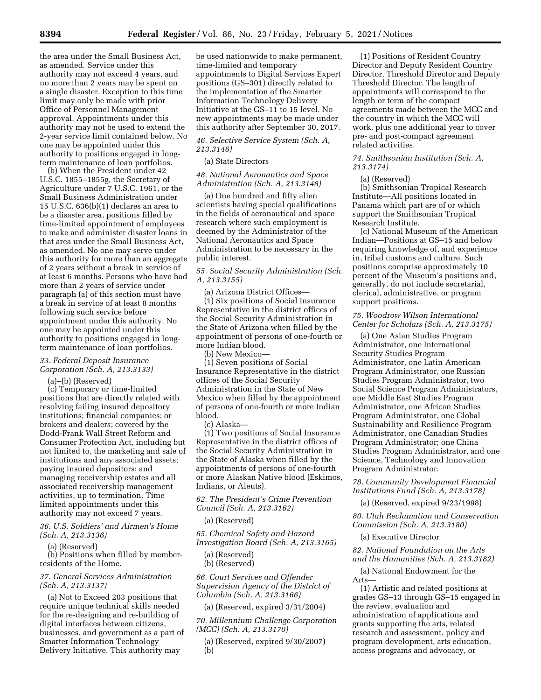the area under the Small Business Act, as amended. Service under this authority may not exceed 4 years, and no more than 2 years may be spent on a single disaster. Exception to this time limit may only be made with prior Office of Personnel Management approval. Appointments under this authority may not be used to extend the 2-year service limit contained below. No one may be appointed under this authority to positions engaged in longterm maintenance of loan portfolios.

(b) When the President under 42 U.S.C. 1855–1855g, the Secretary of Agriculture under 7 U.S.C. 1961, or the Small Business Administration under 15 U.S.C. 636(b)(1) declares an area to be a disaster area, positions filled by time-limited appointment of employees to make and administer disaster loans in that area under the Small Business Act, as amended. No one may serve under this authority for more than an aggregate of 2 years without a break in service of at least 6 months. Persons who have had more than 2 years of service under paragraph (a) of this section must have a break in service of at least 8 months following such service before appointment under this authority. No one may be appointed under this authority to positions engaged in longterm maintenance of loan portfolios.

# *33. Federal Deposit Insurance Corporation (Sch. A, 213.3133)*

(a)–(b) (Reserved)

(c) Temporary or time-limited positions that are directly related with resolving failing insured depository institutions; financial companies; or brokers and dealers; covered by the Dodd-Frank Wall Street Reform and Consumer Protection Act, including but not limited to, the marketing and sale of institutions and any associated assets; paying insured depositors; and managing receivership estates and all associated receivership management activities, up to termination. Time limited appointments under this authority may not exceed 7 years.

### *36. U.S. Soldiers' and Airmen's Home (Sch. A, 213.3136)*

(a) (Reserved)

(b) Positions when filled by memberresidents of the Home.

## *37. General Services Administration (Sch. A, 213.3137)*

(a) Not to Exceed 203 positions that require unique technical skills needed for the re-designing and re-building of digital interfaces between citizens, businesses, and government as a part of Smarter Information Technology Delivery Initiative. This authority may

be used nationwide to make permanent, time-limited and temporary appointments to Digital Services Expert positions (GS–301) directly related to the implementation of the Smarter Information Technology Delivery Initiative at the GS–11 to 15 level. No new appointments may be made under this authority after September 30, 2017.

## *46. Selective Service System (Sch. A, 213.3146)*

#### (a) State Directors

### *48. National Aeronautics and Space Administration (Sch. A, 213.3148)*

(a) One hundred and fifty alien scientists having special qualifications in the fields of aeronautical and space research where such employment is deemed by the Administrator of the National Aeronautics and Space Administration to be necessary in the public interest.

# *55. Social Security Administration (Sch. A, 213.3155)*

(a) Arizona District Offices— (1) Six positions of Social Insurance Representative in the district offices of the Social Security Administration in the State of Arizona when filled by the appointment of persons of one-fourth or more Indian blood.

(b) New Mexico—

(1) Seven positions of Social Insurance Representative in the district offices of the Social Security Administration in the State of New Mexico when filled by the appointment of persons of one-fourth or more Indian blood.

(c) Alaska—

(1) Two positions of Social Insurance Representative in the district offices of the Social Security Administration in the State of Alaska when filled by the appointments of persons of one-fourth or more Alaskan Native blood (Eskimos, Indians, or Aleuts).

*62. The President's Crime Prevention Council (Sch. A, 213.3162)* 

(a) (Reserved)

*65. Chemical Safety and Hazard Investigation Board (Sch. A, 213.3165)* 

(a) (Reserved) (b) (Reserved)

*66. Court Services and Offender Supervision Agency of the District of* 

*Columbia (Sch. A, 213.3166)* 

(a) (Reserved, expired 3/31/2004)

*70. Millennium Challenge Corporation (MCC) (Sch. A, 213.3170)* 

(a) (Reserved, expired 9/30/2007) (b)

(1) Positions of Resident Country Director and Deputy Resident Country Director, Threshold Director and Deputy Threshold Director. The length of appointments will correspond to the length or term of the compact agreements made between the MCC and the country in which the MCC will work, plus one additional year to cover pre- and post-compact agreement related activities.

## *74. Smithsonian Institution (Sch. A, 213.3174)*

(a) (Reserved)

(b) Smithsonian Tropical Research Institute—All positions located in Panama which part are of or which support the Smithsonian Tropical Research Institute.

(c) National Museum of the American Indian—Positions at GS–15 and below requiring knowledge of, and experience in, tribal customs and culture. Such positions comprise approximately 10 percent of the Museum's positions and, generally, do not include secretarial, clerical, administrative, or program support positions.

# *75. Woodrow Wilson International Center for Scholars (Sch. A, 213.3175)*

(a) One Asian Studies Program Administrator, one International Security Studies Program Administrator, one Latin American Program Administrator, one Russian Studies Program Administrator, two Social Science Program Administrators, one Middle East Studies Program Administrator, one African Studies Program Administrator, one Global Sustainability and Resilience Program Administrator, one Canadian Studies Program Administrator; one China Studies Program Administrator, and one Science, Technology and Innovation Program Administrator.

*78. Community Development Financial Institutions Fund (Sch. A, 213.3178)* 

(a) (Reserved, expired 9/23/1998)

*80. Utah Reclamation and Conservation Commission (Sch. A, 213.3180)* 

(a) Executive Director

*82. National Foundation on the Arts and the Humanities (Sch. A, 213.3182)* 

(a) National Endowment for the Arts—

(1) Artistic and related positions at grades GS–13 through GS–15 engaged in the review, evaluation and administration of applications and grants supporting the arts, related research and assessment, policy and program development, arts education, access programs and advocacy, or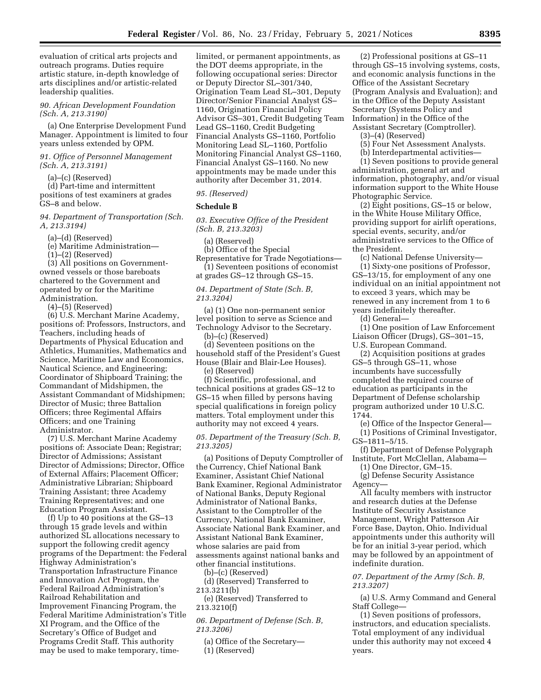evaluation of critical arts projects and outreach programs. Duties require artistic stature, in-depth knowledge of arts disciplines and/or artistic-related leadership qualities.

*90. African Development Foundation (Sch. A, 213.3190)* 

(a) One Enterprise Development Fund Manager. Appointment is limited to four years unless extended by OPM.

*91. Office of Personnel Management (Sch. A, 213.3191)* 

(a)–(c) (Reserved)

(d) Part-time and intermittent positions of test examiners at grades GS–8 and below.

*94. Department of Transportation (Sch. A, 213.3194)* 

(a)–(d) (Reserved)

(e) Maritime Administration—

(1)–(2) (Reserved)

(3) All positions on Governmentowned vessels or those bareboats chartered to the Government and operated by or for the Maritime Administration.

(4)–(5) (Reserved)

(6) U.S. Merchant Marine Academy, positions of: Professors, Instructors, and Teachers, including heads of Departments of Physical Education and Athletics, Humanities, Mathematics and Science, Maritime Law and Economics, Nautical Science, and Engineering; Coordinator of Shipboard Training; the Commandant of Midshipmen, the Assistant Commandant of Midshipmen; Director of Music; three Battalion Officers; three Regimental Affairs Officers; and one Training Administrator.

(7) U.S. Merchant Marine Academy positions of: Associate Dean; Registrar; Director of Admissions; Assistant Director of Admissions; Director, Office of External Affairs; Placement Officer; Administrative Librarian; Shipboard Training Assistant; three Academy Training Representatives; and one Education Program Assistant.

(f) Up to 40 positions at the GS–13 through 15 grade levels and within authorized SL allocations necessary to support the following credit agency programs of the Department: the Federal Highway Administration's Transportation Infrastructure Finance and Innovation Act Program, the Federal Railroad Administration's Railroad Rehabilitation and Improvement Financing Program, the Federal Maritime Administration's Title XI Program, and the Office of the Secretary's Office of Budget and Programs Credit Staff. This authority may be used to make temporary, time-

limited, or permanent appointments, as the DOT deems appropriate, in the following occupational series: Director or Deputy Director SL–301/340, Origination Team Lead SL–301, Deputy Director/Senior Financial Analyst GS– 1160, Origination Financial Policy Advisor GS–301, Credit Budgeting Team Lead GS–1160, Credit Budgeting Financial Analysts GS–1160, Portfolio Monitoring Lead SL–1160, Portfolio Monitoring Financial Analyst GS–1160, Financial Analyst GS–1160. No new appointments may be made under this authority after December 31, 2014.

### *95. (Reserved)*

#### **Schedule B**

*03. Executive Office of the President (Sch. B, 213.3203)* 

(a) (Reserved)

(b) Office of the Special

Representative for Trade Negotiations— (1) Seventeen positions of economist at grades GS–12 through GS–15.

*04. Department of State (Sch. B, 213.3204)* 

(a) (1) One non-permanent senior level position to serve as Science and Technology Advisor to the Secretary.

(b)–(c) (Reserved) (d) Seventeen positions on the household staff of the President's Guest

House (Blair and Blair-Lee Houses). (e) (Reserved)

(f) Scientific, professional, and technical positions at grades GS–12 to GS–15 when filled by persons having special qualifications in foreign policy matters. Total employment under this authority may not exceed 4 years.

*05. Department of the Treasury (Sch. B, 213.3205)* 

(a) Positions of Deputy Comptroller of the Currency, Chief National Bank Examiner, Assistant Chief National Bank Examiner, Regional Administrator of National Banks, Deputy Regional Administrator of National Banks, Assistant to the Comptroller of the Currency, National Bank Examiner, Associate National Bank Examiner, and Assistant National Bank Examiner, whose salaries are paid from assessments against national banks and other financial institutions.

(b)–(c) (Reserved)

(d) (Reserved) Transferred to 213.3211(b)

(e) (Reserved) Transferred to 213.3210(f)

*06. Department of Defense (Sch. B, 213.3206)* 

(a) Office of the Secretary— (1) (Reserved)

(2) Professional positions at GS–11 through GS–15 involving systems, costs, and economic analysis functions in the Office of the Assistant Secretary (Program Analysis and Evaluation); and in the Office of the Deputy Assistant Secretary (Systems Policy and Information) in the Office of the Assistant Secretary (Comptroller).

(3)–(4) (Reserved)

(5) Four Net Assessment Analysts.

(b) Interdepartmental activities—

(1) Seven positions to provide general administration, general art and information, photography, and/or visual information support to the White House Photographic Service.

(2) Eight positions, GS–15 or below, in the White House Military Office, providing support for airlift operations, special events, security, and/or administrative services to the Office of the President.

(c) National Defense University—

(1) Sixty-one positions of Professor, GS–13/15, for employment of any one individual on an initial appointment not to exceed 3 years, which may be renewed in any increment from 1 to 6 years indefinitely thereafter.

(d) General—

(1) One position of Law Enforcement Liaison Officer (Drugs), GS–301–15, U.S. European Command.

(2) Acquisition positions at grades GS–5 through GS–11, whose incumbents have successfully completed the required course of education as participants in the Department of Defense scholarship program authorized under 10 U.S.C. 1744.

(e) Office of the Inspector General— (1) Positions of Criminal Investigator,

GS–1811–5/15.

(f) Department of Defense Polygraph Institute, Fort McClellan, Alabama—

(1) One Director, GM–15.

(g) Defense Security Assistance Agency—

All faculty members with instructor and research duties at the Defense Institute of Security Assistance Management, Wright Patterson Air Force Base, Dayton, Ohio. Individual appointments under this authority will be for an initial 3-year period, which may be followed by an appointment of indefinite duration.

#### *07. Department of the Army (Sch. B, 213.3207)*

(a) U.S. Army Command and General Staff College—

(1) Seven positions of professors, instructors, and education specialists. Total employment of any individual under this authority may not exceed 4 years.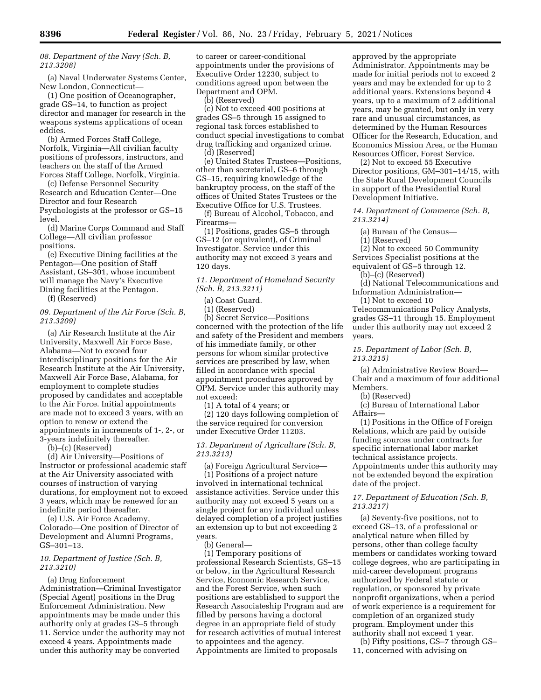*08. Department of the Navy (Sch. B, 213.3208)* 

(a) Naval Underwater Systems Center, New London, Connecticut—

(1) One position of Oceanographer, grade GS–14, to function as project director and manager for research in the weapons systems applications of ocean eddies.

(b) Armed Forces Staff College, Norfolk, Virginia—All civilian faculty positions of professors, instructors, and teachers on the staff of the Armed Forces Staff College, Norfolk, Virginia.

(c) Defense Personnel Security Research and Education Center—One Director and four Research Psychologists at the professor or GS–15 level.

(d) Marine Corps Command and Staff College—All civilian professor positions.

(e) Executive Dining facilities at the Pentagon—One position of Staff Assistant, GS–301, whose incumbent will manage the Navy's Executive Dining facilities at the Pentagon. (f) (Reserved)

*09. Department of the Air Force (Sch. B, 213.3209)* 

(a) Air Research Institute at the Air University, Maxwell Air Force Base, Alabama—Not to exceed four interdisciplinary positions for the Air Research Institute at the Air University, Maxwell Air Force Base, Alabama, for employment to complete studies proposed by candidates and acceptable to the Air Force. Initial appointments are made not to exceed 3 years, with an option to renew or extend the appointments in increments of 1-, 2-, or 3-years indefinitely thereafter.

(b)–(c) (Reserved)

(d) Air University—Positions of Instructor or professional academic staff at the Air University associated with courses of instruction of varying durations, for employment not to exceed 3 years, which may be renewed for an indefinite period thereafter.

(e) U.S. Air Force Academy, Colorado—One position of Director of Development and Alumni Programs, GS–301–13.

#### *10. Department of Justice (Sch. B, 213.3210)*

(a) Drug Enforcement Administration—Criminal Investigator (Special Agent) positions in the Drug Enforcement Administration. New appointments may be made under this authority only at grades GS–5 through 11. Service under the authority may not exceed 4 years. Appointments made under this authority may be converted

to career or career-conditional appointments under the provisions of Executive Order 12230, subject to conditions agreed upon between the Department and OPM.

(b) (Reserved)

(c) Not to exceed 400 positions at grades GS–5 through 15 assigned to regional task forces established to conduct special investigations to combat drug trafficking and organized crime. (d) (Reserved)

(e) United States Trustees—Positions, other than secretarial, GS–6 through GS–15, requiring knowledge of the bankruptcy process, on the staff of the offices of United States Trustees or the Executive Office for U.S. Trustees.

(f) Bureau of Alcohol, Tobacco, and Firearms—

(1) Positions, grades GS–5 through GS–12 (or equivalent), of Criminal Investigator. Service under this authority may not exceed 3 years and 120 days.

*11. Department of Homeland Security (Sch. B, 213.3211)* 

(a) Coast Guard.

(1) (Reserved)

(b) Secret Service—Positions concerned with the protection of the life and safety of the President and members of his immediate family, or other persons for whom similar protective services are prescribed by law, when filled in accordance with special appointment procedures approved by OPM. Service under this authority may not exceed:

(1) A total of 4 years; or

(2) 120 days following completion of the service required for conversion under Executive Order 11203.

*13. Department of Agriculture (Sch. B, 213.3213)* 

(a) Foreign Agricultural Service— (1) Positions of a project nature involved in international technical assistance activities. Service under this authority may not exceed 5 years on a single project for any individual unless delayed completion of a project justifies an extension up to but not exceeding 2 years.

(b) General—

(1) Temporary positions of professional Research Scientists, GS–15 or below, in the Agricultural Research Service, Economic Research Service, and the Forest Service, when such positions are established to support the Research Associateship Program and are filled by persons having a doctoral degree in an appropriate field of study for research activities of mutual interest to appointees and the agency. Appointments are limited to proposals

approved by the appropriate Administrator. Appointments may be made for initial periods not to exceed 2 years and may be extended for up to 2 additional years. Extensions beyond 4 years, up to a maximum of 2 additional years, may be granted, but only in very rare and unusual circumstances, as determined by the Human Resources Officer for the Research, Education, and Economics Mission Area, or the Human Resources Officer, Forest Service.

(2) Not to exceed 55 Executive Director positions, GM–301–14/15, with the State Rural Development Councils in support of the Presidential Rural Development Initiative.

*14. Department of Commerce (Sch. B, 213.3214)* 

(a) Bureau of the Census—

(1) (Reserved)

(2) Not to exceed 50 Community Services Specialist positions at the equivalent of GS–5 through 12.

(b)–(c) (Reserved)

(d) National Telecommunications and Information Administration—

(1) Not to exceed 10 Telecommunications Policy Analysts, grades GS–11 through 15. Employment under this authority may not exceed 2 years.

*15. Department of Labor (Sch. B, 213.3215)* 

(a) Administrative Review Board— Chair and a maximum of four additional Members.

(b) (Reserved)

(c) Bureau of International Labor Affairs—

(1) Positions in the Office of Foreign Relations, which are paid by outside funding sources under contracts for specific international labor market technical assistance projects. Appointments under this authority may not be extended beyond the expiration date of the project.

*17. Department of Education (Sch. B, 213.3217)* 

(a) Seventy-five positions, not to exceed GS–13, of a professional or analytical nature when filled by persons, other than college faculty members or candidates working toward college degrees, who are participating in mid-career development programs authorized by Federal statute or regulation, or sponsored by private nonprofit organizations, when a period of work experience is a requirement for completion of an organized study program. Employment under this authority shall not exceed 1 year.

(b) Fifty positions, GS–7 through GS– 11, concerned with advising on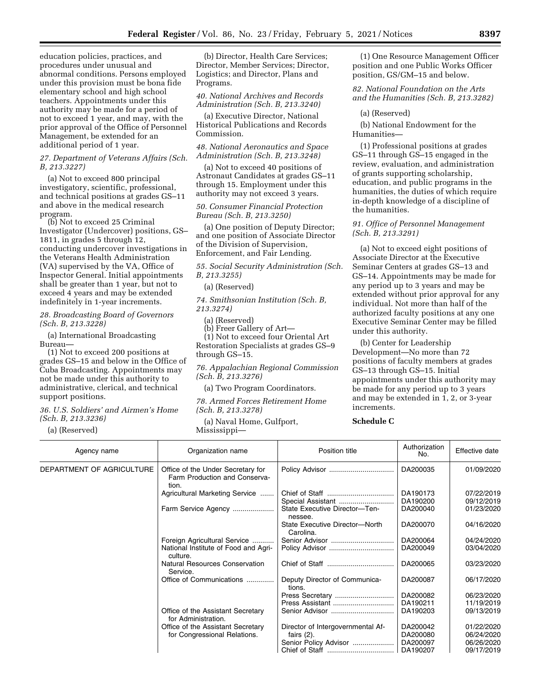education policies, practices, and procedures under unusual and abnormal conditions. Persons employed under this provision must be bona fide elementary school and high school teachers. Appointments under this authority may be made for a period of not to exceed 1 year, and may, with the prior approval of the Office of Personnel Management, be extended for an additional period of 1 year.

#### *27. Department of Veterans Affairs (Sch. B, 213.3227)*

(a) Not to exceed 800 principal investigatory, scientific, professional, and technical positions at grades GS–11 and above in the medical research program.

(b) Not to exceed 25 Criminal Investigator (Undercover) positions, GS– 1811, in grades 5 through 12, conducting undercover investigations in the Veterans Health Administration (VA) supervised by the VA, Office of Inspector General. Initial appointments shall be greater than 1 year, but not to exceed 4 years and may be extended indefinitely in 1-year increments.

# *28. Broadcasting Board of Governors (Sch. B, 213.3228)*

(a) International Broadcasting Bureau—

(1) Not to exceed 200 positions at grades GS–15 and below in the Office of Cuba Broadcasting. Appointments may not be made under this authority to administrative, clerical, and technical support positions.

*36. U.S. Soldiers' and Airmen's Home (Sch. B, 213.3236)* 

(a) (Reserved)

(b) Director, Health Care Services; Director, Member Services; Director, Logistics; and Director, Plans and Programs.

*40. National Archives and Records Administration (Sch. B, 213.3240)* 

(a) Executive Director, National Historical Publications and Records Commission.

*48. National Aeronautics and Space Administration (Sch. B, 213.3248)* 

(a) Not to exceed 40 positions of Astronaut Candidates at grades GS–11 through 15. Employment under this authority may not exceed 3 years.

#### *50. Consumer Financial Protection Bureau (Sch. B, 213.3250)*

(a) One position of Deputy Director; and one position of Associate Director of the Division of Supervision, Enforcement, and Fair Lending.

*55. Social Security Administration (Sch. B, 213.3255)* 

(a) (Reserved)

*74. Smithsonian Institution (Sch. B, 213.3274)* 

(a) (Reserved)

(b) Freer Gallery of Art—

(1) Not to exceed four Oriental Art Restoration Specialists at grades GS–9 through GS–15.

*76. Appalachian Regional Commission (Sch. B, 213.3276)* 

(a) Two Program Coordinators.

*78. Armed Forces Retirement Home (Sch. B, 213.3278)* 

(a) Naval Home, Gulfport, Mississippi—

(1) One Resource Management Officer position and one Public Works Officer position, GS/GM–15 and below.

*82. National Foundation on the Arts and the Humanities (Sch. B, 213.3282)* 

(a) (Reserved)

(b) National Endowment for the Humanities—

(1) Professional positions at grades GS–11 through GS–15 engaged in the review, evaluation, and administration of grants supporting scholarship, education, and public programs in the humanities, the duties of which require in-depth knowledge of a discipline of the humanities.

# *91. Office of Personnel Management (Sch. B, 213.3291)*

(a) Not to exceed eight positions of Associate Director at the Executive Seminar Centers at grades GS–13 and GS–14. Appointments may be made for any period up to 3 years and may be extended without prior approval for any individual. Not more than half of the authorized faculty positions at any one Executive Seminar Center may be filled under this authority.

(b) Center for Leadership Development—No more than 72 positions of faculty members at grades GS–13 through GS–15. Initial appointments under this authority may be made for any period up to 3 years and may be extended in 1, 2, or 3-year increments.

# **Schedule C**

| Agency name               | Organization name                                                           | Position title                              | Authorization<br>No. | Effective date           |
|---------------------------|-----------------------------------------------------------------------------|---------------------------------------------|----------------------|--------------------------|
| DEPARTMENT OF AGRICULTURE | Office of the Under Secretary for<br>Farm Production and Conserva-<br>tion. |                                             | DA200035             | 01/09/2020               |
|                           | Agricultural Marketing Service                                              | Special Assistant                           | DA190173<br>DA190200 | 07/22/2019<br>09/12/2019 |
|                           | Farm Service Agency                                                         | State Executive Director-Ten-<br>nessee.    | DA200040             | 01/23/2020               |
|                           |                                                                             | State Executive Director-North<br>Carolina. | DA200070             | 04/16/2020               |
|                           | Foreign Agricultural Service                                                | Senior Advisor                              | DA200064             | 04/24/2020               |
|                           | National Institute of Food and Agri-<br>culture.                            |                                             | DA200049             | 03/04/2020               |
|                           | <b>Natural Resources Conservation</b><br>Service.                           |                                             | DA200065             | 03/23/2020               |
|                           | Office of Communications                                                    | Deputy Director of Communica-<br>tions.     | DA200087             | 06/17/2020               |
|                           |                                                                             | Press Secretary                             | DA200082             | 06/23/2020               |
|                           |                                                                             | Press Assistant                             | DA190211             | 11/19/2019               |
|                           | Office of the Assistant Secretary<br>for Administration.                    |                                             | DA190203             | 09/13/2019               |
|                           | Office of the Assistant Secretary                                           | Director of Intergovernmental Af-           | DA200042             | 01/22/2020               |
|                           | for Congressional Relations.                                                | fairs $(2)$ .                               | DA200080             | 06/24/2020               |
|                           |                                                                             | Senior Policy Advisor                       | DA200097             | 06/26/2020               |
|                           |                                                                             |                                             | DA190207             | 09/17/2019               |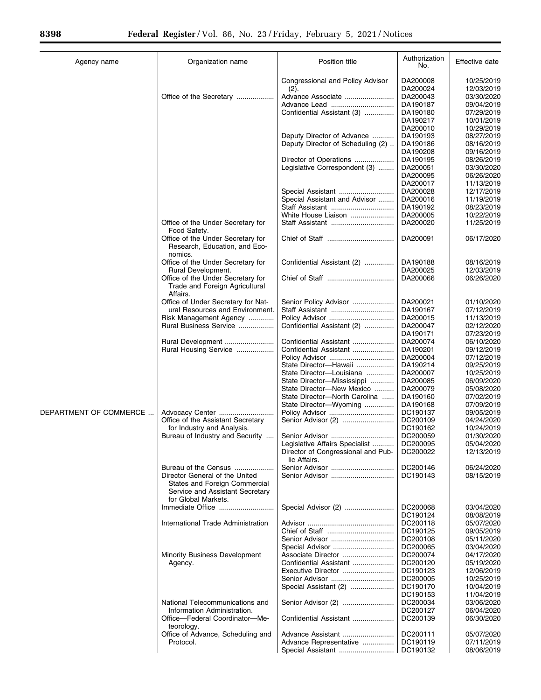| Agency name            | Organization name                                                                                                         | Position title                                     | Authorization<br>No. | Effective date           |
|------------------------|---------------------------------------------------------------------------------------------------------------------------|----------------------------------------------------|----------------------|--------------------------|
|                        |                                                                                                                           | Congressional and Policy Advisor<br>(2).           | DA200008<br>DA200024 | 10/25/2019<br>12/03/2019 |
|                        | Office of the Secretary                                                                                                   | Advance Associate                                  | DA200043             | 03/30/2020               |
|                        |                                                                                                                           |                                                    | DA190187             | 09/04/2019               |
|                        |                                                                                                                           | Confidential Assistant (3)                         | DA190180             | 07/29/2019               |
|                        |                                                                                                                           |                                                    | DA190217             | 10/01/2019               |
|                        |                                                                                                                           |                                                    | DA200010             | 10/29/2019               |
|                        |                                                                                                                           | Deputy Director of Advance                         | DA190193             | 08/27/2019               |
|                        |                                                                                                                           | Deputy Director of Scheduling (2)                  | DA190186             | 08/16/2019               |
|                        |                                                                                                                           |                                                    | DA190208             | 09/16/2019               |
|                        |                                                                                                                           | Director of Operations                             | DA190195             | 08/26/2019               |
|                        |                                                                                                                           | Legislative Correspondent (3)                      | DA200051             | 03/30/2020               |
|                        |                                                                                                                           |                                                    | DA200095             | 06/26/2020               |
|                        |                                                                                                                           |                                                    | DA200017             | 11/13/2019               |
|                        |                                                                                                                           | Special Assistant                                  | DA200028             | 12/17/2019               |
|                        |                                                                                                                           | Special Assistant and Advisor                      | DA200016             | 11/19/2019               |
|                        |                                                                                                                           | Staff Assistant                                    | DA190192             | 08/23/2019               |
|                        |                                                                                                                           | White House Liaison                                | DA200005             | 10/22/2019               |
|                        | Office of the Under Secretary for<br>Food Safety.                                                                         | Staff Assistant                                    | DA200020             | 11/25/2019               |
|                        | Office of the Under Secretary for<br>Research, Education, and Eco-<br>nomics.                                             |                                                    | DA200091             | 06/17/2020               |
|                        | Office of the Under Secretary for<br>Rural Development.                                                                   | Confidential Assistant (2)                         | DA190188<br>DA200025 | 08/16/2019<br>12/03/2019 |
|                        | Office of the Under Secretary for<br>Trade and Foreign Agricultural<br>Affairs.                                           |                                                    | DA200066             | 06/26/2020               |
|                        | Office of Under Secretary for Nat-                                                                                        | Senior Policy Advisor                              | DA200021             | 01/10/2020               |
|                        | ural Resources and Environment.                                                                                           | Staff Assistant                                    | DA190167             | 07/12/2019               |
|                        | Risk Management Agency                                                                                                    | Policy Advisor                                     | DA200015             | 11/13/2019               |
|                        | Rural Business Service                                                                                                    | Confidential Assistant (2)                         | DA200047             | 02/12/2020               |
|                        |                                                                                                                           |                                                    | DA190171             | 07/23/2019               |
|                        | Rural Development                                                                                                         | Confidential Assistant                             | DA200074             | 06/10/2020               |
|                        | Rural Housing Service                                                                                                     | Confidential Assistant                             | DA190201             | 09/12/2019               |
|                        |                                                                                                                           |                                                    | DA200004             | 07/12/2019               |
|                        |                                                                                                                           | State Director-Hawaii                              | DA190214             | 09/25/2019               |
|                        |                                                                                                                           | State Director-Louisiana                           | DA200007             | 10/25/2019               |
|                        |                                                                                                                           | State Director-Mississippi                         | DA200085             | 06/09/2020               |
|                        |                                                                                                                           | State Director-New Mexico                          | DA200079             | 05/08/2020               |
|                        |                                                                                                                           | State Director-North Carolina                      | DA190160             | 07/02/2019               |
|                        |                                                                                                                           | State Director-Wyoming                             | DA190168             | 07/09/2019               |
| DEPARTMENT OF COMMERCE | Advocacy Center                                                                                                           | Policy Advisor                                     | DC190137             | 09/05/2019               |
|                        | Office of the Assistant Secretary                                                                                         |                                                    | DC200109             | 04/24/2020               |
|                        | for Industry and Analysis.                                                                                                |                                                    | DC190162             | 10/24/2019               |
|                        | Bureau of Industry and Security                                                                                           | Senior Advisor                                     | DC200059             | 01/30/2020               |
|                        |                                                                                                                           | Legislative Affairs Specialist                     | DC200095             | 05/04/2020               |
|                        |                                                                                                                           | Director of Congressional and Pub-<br>lic Affairs. | DC200022             | 12/13/2019               |
|                        | Bureau of the Census                                                                                                      |                                                    | DC200146             | 06/24/2020               |
|                        | Director General of the United<br>States and Foreign Commercial<br>Service and Assistant Secretary<br>for Global Markets. |                                                    | DC190143             | 08/15/2019               |
|                        | Immediate Office                                                                                                          | Special Advisor (2)                                | DC200068<br>DC190124 | 03/04/2020<br>08/08/2019 |
|                        | International Trade Administration                                                                                        |                                                    | DC200118             | 05/07/2020               |
|                        |                                                                                                                           |                                                    | DC190125             | 09/05/2019               |
|                        |                                                                                                                           |                                                    | DC200108             | 05/11/2020               |
|                        |                                                                                                                           | Special Advisor                                    | DC200065             | 03/04/2020               |
|                        | <b>Minority Business Development</b>                                                                                      | Associate Director                                 | DC200074             | 04/17/2020               |
|                        | Agency.                                                                                                                   | Confidential Assistant                             | DC200120             | 05/19/2020               |
|                        |                                                                                                                           | Executive Director                                 | DC190123             | 12/06/2019               |
|                        |                                                                                                                           |                                                    | DC200005             | 10/25/2019               |
|                        |                                                                                                                           | Special Assistant (2)                              | DC190170             | 10/04/2019               |
|                        |                                                                                                                           |                                                    | DC190153             | 11/04/2019               |
|                        | National Telecommunications and                                                                                           | Senior Advisor (2)                                 | DC200034             | 03/06/2020               |
|                        | Information Administration.                                                                                               |                                                    | DC200127             | 06/04/2020               |
|                        | Office-Federal Coordinator-Me-<br>teorology.                                                                              | Confidential Assistant                             | DC200139             | 06/30/2020               |
|                        | Office of Advance, Scheduling and                                                                                         | Advance Assistant                                  | DC200111             | 05/07/2020               |
|                        | Protocol.                                                                                                                 | Advance Representative                             | DC190119             | 07/11/2019               |
|                        |                                                                                                                           |                                                    | DC190132             | 08/06/2019               |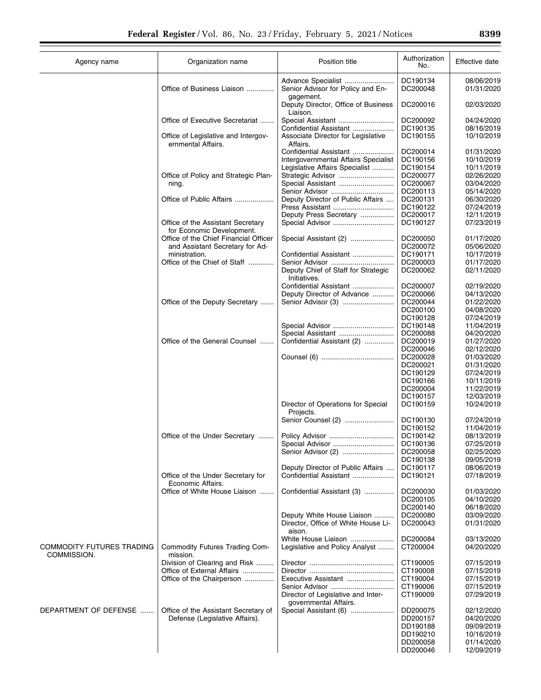| Agency name               | Organization name                                         | Position title                                                 | Authorization<br>No. | Effective date           |
|---------------------------|-----------------------------------------------------------|----------------------------------------------------------------|----------------------|--------------------------|
|                           | Office of Business Liaison                                | Advance Specialist<br>Senior Advisor for Policy and En-        | DC190134<br>DC200048 | 08/06/2019<br>01/31/2020 |
|                           |                                                           | gagement.<br>Deputy Director, Office of Business<br>Liaison.   | DC200016             | 02/03/2020               |
|                           | Office of Executive Secretariat                           | Special Assistant                                              | DC200092             | 04/24/2020               |
|                           |                                                           | Confidential Assistant                                         | DC190135             | 08/16/2019               |
|                           | Office of Legislative and Intergov-<br>ernmental Affairs. | Associate Director for Legislative<br>Affairs.                 | DC190155             | 10/10/2019               |
|                           |                                                           | Confidential Assistant<br>Intergovernmental Affairs Specialist | DC200014<br>DC190156 | 01/31/2020<br>10/10/2019 |
|                           |                                                           | Legislative Affairs Specialist                                 | DC190154             | 10/11/2019               |
|                           | Office of Policy and Strategic Plan-                      | Strategic Advisor                                              | DC200077             | 02/26/2020               |
|                           | ning.                                                     | Special Assistant                                              | DC200067             | 03/04/2020               |
|                           |                                                           | Senior Advisor                                                 | DC200113             | 05/14/2020               |
|                           | Office of Public Affairs                                  | Deputy Director of Public Affairs                              | DC200131             | 06/30/2020               |
|                           |                                                           | Press Assistant                                                | DC190122             | 07/24/2019               |
|                           | Office of the Assistant Secretary                         | Deputy Press Secretary<br>Special Advisor                      | DC200017<br>DC190127 | 12/11/2019<br>07/23/2019 |
|                           | for Economic Development.                                 |                                                                |                      |                          |
|                           | Office of the Chief Financial Officer                     | Special Assistant (2)                                          | DC200050<br>DC200072 | 01/17/2020               |
|                           | and Assistant Secretary for Ad-<br>ministration.          | Confidential Assistant                                         | DC190171             | 05/06/2020<br>10/17/2019 |
|                           | Office of the Chief of Staff                              | Senior Advisor                                                 | DC200003             | 01/17/2020               |
|                           |                                                           | Deputy Chief of Staff for Strategic<br>Initiatives.            | DC200062             | 02/11/2020               |
|                           |                                                           | Confidential Assistant                                         | DC200007             | 02/19/2020               |
|                           |                                                           | Deputy Director of Advance                                     | DC200066             | 04/13/2020               |
|                           | Office of the Deputy Secretary                            |                                                                | DC200044             | 01/22/2020               |
|                           |                                                           |                                                                | DC200100             | 04/08/2020               |
|                           |                                                           | Special Advisor                                                | DC190128<br>DC190148 | 07/24/2019<br>11/04/2019 |
|                           |                                                           | Special Assistant                                              | DC200088             | 04/20/2020               |
|                           | Office of the General Counsel                             | Confidential Assistant (2)                                     | DC200019             | 01/27/2020               |
|                           |                                                           |                                                                | DC200046             | 02/12/2020               |
|                           |                                                           |                                                                | DC200028             | 01/03/2020               |
|                           |                                                           |                                                                | DC200021             | 01/31/2020               |
|                           |                                                           |                                                                | DC190129             | 07/24/2019               |
|                           |                                                           |                                                                | DC190166<br>DC200004 | 10/11/2019<br>11/22/2019 |
|                           |                                                           |                                                                | DC190157             | 12/03/2019               |
|                           |                                                           | Director of Operations for Special<br>Projects.                | DC190159             | 10/24/2019               |
|                           |                                                           | Senior Counsel (2)                                             | DC190130             | 07/24/2019               |
|                           |                                                           |                                                                | DC190152             | 11/04/2019               |
|                           | Office of the Under Secretary                             | Policy Advisor                                                 | DC190142             | 08/13/2019               |
|                           |                                                           | Special Advisor                                                | DC190136             | 07/25/2019               |
|                           |                                                           | Senior Advisor (2)                                             | DC200058             | 02/25/2020               |
|                           |                                                           | Deputy Director of Public Affairs                              | DC190138<br>DC190117 | 09/05/2019               |
|                           | Office of the Under Secretary for<br>Economic Affairs.    | Confidential Assistant                                         | DC190121             | 08/06/2019<br>07/18/2019 |
|                           | Office of White House Liaison                             | Confidential Assistant (3)                                     | DC200030             | 01/03/2020               |
|                           |                                                           |                                                                | DC200105             | 04/10/2020               |
|                           |                                                           |                                                                | DC200140             | 06/18/2020               |
|                           |                                                           | Deputy White House Liaison                                     | DC200080             | 03/09/2020               |
|                           |                                                           | Director, Office of White House Li-<br>aison.                  | DC200043             | 01/31/2020               |
| COMMODITY FUTURES TRADING | Commodity Futures Trading Com-                            | White House Liaison<br>Legislative and Policy Analyst          | DC200084<br>CT200004 | 03/13/2020<br>04/20/2020 |
| COMMISSION.               | mission.                                                  |                                                                |                      |                          |
|                           | Division of Clearing and Risk                             |                                                                | CT190005             | 07/15/2019               |
|                           | Office of External Affairs                                | Executive Assistant                                            | CT190008<br>CT190004 | 07/15/2019               |
|                           | Office of the Chairperson                                 | Senior Advisor                                                 | CT190006             | 07/15/2019<br>07/15/2019 |
|                           |                                                           | Director of Legislative and Inter-<br>governmental Affairs.    | CT190009             | 07/29/2019               |
| DEPARTMENT OF DEFENSE     | Office of the Assistant Secretary of                      | Special Assistant (6)                                          | DD200075             | 02/12/2020               |
|                           | Defense (Legislative Affairs).                            |                                                                | DD200157             | 04/20/2020               |
|                           |                                                           |                                                                | DD190188             | 09/09/2019               |
|                           |                                                           |                                                                | DD190210             | 10/16/2019               |
|                           |                                                           |                                                                | DD200058<br>DD200046 | 01/14/2020<br>12/09/2019 |
|                           |                                                           |                                                                |                      |                          |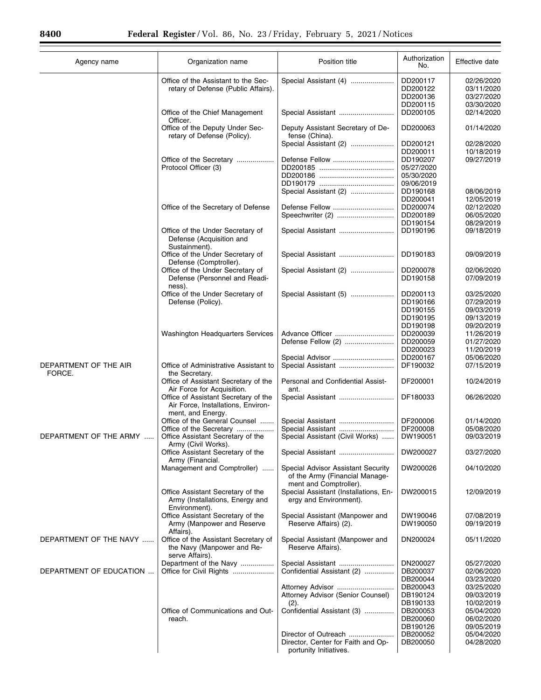Ξ

| Agency name                     | Organization name                                                                               | Position title                                                  | Authorization<br>No.             | Effective date                         |
|---------------------------------|-------------------------------------------------------------------------------------------------|-----------------------------------------------------------------|----------------------------------|----------------------------------------|
|                                 | Office of the Assistant to the Sec-<br>retary of Defense (Public Affairs).                      | Special Assistant (4)                                           | DD200117<br>DD200122<br>DD200136 | 02/26/2020<br>03/11/2020<br>03/27/2020 |
|                                 | Office of the Chief Management                                                                  | Special Assistant                                               | DD200115<br>DD200105             | 03/30/2020<br>02/14/2020               |
|                                 | Officer.<br>Office of the Deputy Under Sec-                                                     | Deputy Assistant Secretary of De-                               | DD200063                         | 01/14/2020                             |
|                                 | retary of Defense (Policy).                                                                     | fense (China).<br>Special Assistant (2)                         | DD200121                         | 02/28/2020                             |
|                                 | Office of the Secretary                                                                         |                                                                 | DD200011<br>DD190207             | 10/18/2019                             |
|                                 | Protocol Officer (3)                                                                            |                                                                 | 05/27/2020                       | 09/27/2019                             |
|                                 |                                                                                                 |                                                                 | 05/30/2020                       |                                        |
|                                 |                                                                                                 |                                                                 | 09/06/2019                       |                                        |
|                                 |                                                                                                 | Special Assistant (2)                                           | DD190168                         | 08/06/2019                             |
|                                 |                                                                                                 |                                                                 | DD200041                         | 12/05/2019                             |
|                                 | Office of the Secretary of Defense                                                              | Defense Fellow                                                  | DD200074<br>DD200189             | 02/12/2020<br>06/05/2020               |
|                                 |                                                                                                 |                                                                 | DD190154                         | 08/29/2019                             |
|                                 | Office of the Under Secretary of<br>Defense (Acquisition and<br>Sustainment).                   | Special Assistant                                               | DD190196                         | 09/18/2019                             |
|                                 | Office of the Under Secretary of<br>Defense (Comptroller).                                      | Special Assistant                                               | DD190183                         | 09/09/2019                             |
|                                 | Office of the Under Secretary of                                                                | Special Assistant (2)                                           | DD200078                         | 02/06/2020                             |
|                                 | Defense (Personnel and Readi-<br>ness).                                                         |                                                                 | DD190158                         | 07/09/2019                             |
|                                 | Office of the Under Secretary of                                                                | Special Assistant (5)                                           | DD200113                         | 03/25/2020                             |
|                                 | Defense (Policy).                                                                               |                                                                 | DD190166                         | 07/29/2019                             |
|                                 |                                                                                                 |                                                                 | DD190155<br>DD190195             | 09/03/2019<br>09/13/2019               |
|                                 |                                                                                                 |                                                                 | DD190198                         | 09/20/2019                             |
|                                 | <b>Washington Headquarters Services</b>                                                         | Advance Officer                                                 | DD200039                         | 11/26/2019                             |
|                                 |                                                                                                 | Defense Fellow (2)                                              | DD200059                         | 01/27/2020                             |
|                                 |                                                                                                 |                                                                 | DD200023                         | 11/20/2019                             |
|                                 |                                                                                                 | Special Advisor                                                 | DD200167                         | 05/06/2020                             |
| DEPARTMENT OF THE AIR<br>FORCE. | Office of Administrative Assistant to<br>the Secretary.                                         | Special Assistant                                               | DF190032                         | 07/15/2019                             |
|                                 | Office of Assistant Secretary of the<br>Air Force for Acquisition.                              | Personal and Confidential Assist-<br>ant.                       | DF200001                         | 10/24/2019                             |
|                                 | Office of Assistant Secretary of the<br>Air Force, Installations, Environ-<br>ment, and Energy. | Special Assistant                                               | DF180033                         | 06/26/2020                             |
|                                 | Office of the General Counsel                                                                   | Special Assistant                                               | DF200006                         | 01/14/2020                             |
|                                 | Office of the Secretary                                                                         |                                                                 | DF200008                         | 05/08/2020                             |
| DEPARTMENT OF THE ARMY          | Office Assistant Secretary of the<br>Army (Civil Works).<br>Office Assistant Secretary of the   | Special Assistant (Civil Works)                                 | DW190051<br>DW200027             | 09/03/2019<br>03/27/2020               |
|                                 | Army (Financial.<br>Management and Comptroller)                                                 | Special Advisor Assistant Security                              | DW200026                         | 04/10/2020                             |
|                                 |                                                                                                 | of the Army (Financial Manage-<br>ment and Comptroller).        |                                  |                                        |
|                                 | Office Assistant Secretary of the<br>Army (Installations, Energy and<br>Environment).           | Special Assistant (Installations, En-<br>ergy and Environment). | DW200015                         | 12/09/2019                             |
|                                 | Office Assistant Secretary of the<br>Army (Manpower and Reserve<br>Affairs).                    | Special Assistant (Manpower and<br>Reserve Affairs) (2).        | DW190046<br>DW190050             | 07/08/2019<br>09/19/2019               |
| DEPARTMENT OF THE NAVY          | Office of the Assistant Secretary of<br>the Navy (Manpower and Re-<br>serve Affairs).           | Special Assistant (Manpower and<br>Reserve Affairs).            | DN200024                         | 05/11/2020                             |
|                                 | Department of the Navy                                                                          |                                                                 | DN200027                         | 05/27/2020                             |
| DEPARTMENT OF EDUCATION         | Office for Civil Rights                                                                         | Confidential Assistant (2)                                      | DB200037                         | 02/06/2020                             |
|                                 |                                                                                                 |                                                                 | DB200044                         | 03/23/2020                             |
|                                 |                                                                                                 |                                                                 | DB200043                         | 03/25/2020                             |
|                                 |                                                                                                 | Attorney Advisor (Senior Counsel)<br>(2).                       | DB190124<br>DB190133             | 09/03/2019<br>10/02/2019               |
|                                 | Office of Communications and Out-                                                               | Confidential Assistant (3)                                      | DB200053                         | 05/04/2020                             |
|                                 | reach.                                                                                          |                                                                 | DB200060                         | 06/02/2020                             |
|                                 |                                                                                                 |                                                                 | DB190126                         | 09/05/2019                             |
|                                 |                                                                                                 | Director of Outreach                                            | DB200052                         | 05/04/2020                             |
|                                 |                                                                                                 | Director, Center for Faith and Op-<br>portunity Initiatives.    | DB200050                         | 04/28/2020                             |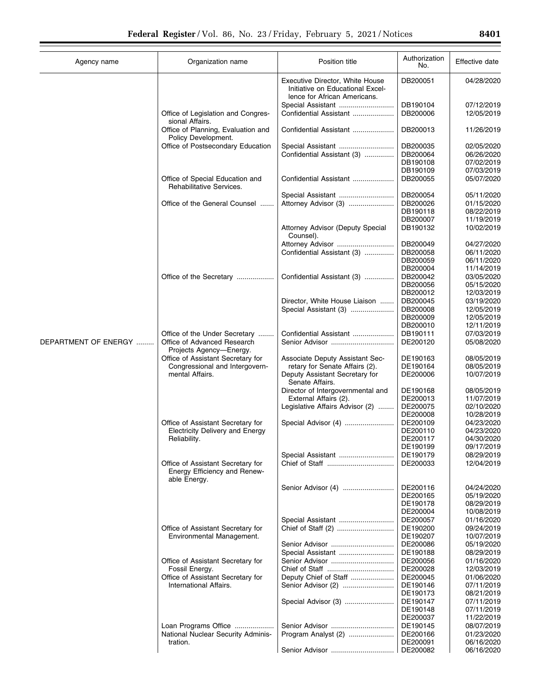| Agency name          | Organization name                                                                       | Position title                                                                                      | Authorization<br>No. | Effective date           |
|----------------------|-----------------------------------------------------------------------------------------|-----------------------------------------------------------------------------------------------------|----------------------|--------------------------|
|                      |                                                                                         | Executive Director, White House<br>Initiative on Educational Excel-<br>lence for African Americans. | DB200051             | 04/28/2020               |
|                      |                                                                                         | Special Assistant                                                                                   | DB190104             | 07/12/2019               |
|                      | Office of Legislation and Congres-<br>sional Affairs.                                   | Confidential Assistant                                                                              | DB200006             | 12/05/2019               |
|                      | Office of Planning, Evaluation and<br>Policy Development.                               | Confidential Assistant                                                                              | DB200013             | 11/26/2019               |
|                      | Office of Postsecondary Education                                                       | Special Assistant                                                                                   | DB200035             | 02/05/2020               |
|                      |                                                                                         | Confidential Assistant (3)                                                                          | DB200064             | 06/26/2020               |
|                      |                                                                                         |                                                                                                     | DB190108             | 07/02/2019               |
|                      |                                                                                         |                                                                                                     | DB190109             | 07/03/2019               |
|                      | Office of Special Education and<br>Rehabilitative Services.                             | Confidential Assistant                                                                              | DB200055             | 05/07/2020               |
|                      |                                                                                         | Special Assistant                                                                                   | DB200054<br>DB200026 | 05/11/2020               |
|                      | Office of the General Counsel                                                           | Attorney Advisor (3)                                                                                | DB190118             | 01/15/2020<br>08/22/2019 |
|                      |                                                                                         |                                                                                                     | DB200007             | 11/19/2019               |
|                      |                                                                                         | Attorney Advisor (Deputy Special<br>Counsel).                                                       | DB190132             | 10/02/2019               |
|                      |                                                                                         | Attorney Advisor                                                                                    | DB200049             | 04/27/2020               |
|                      |                                                                                         | Confidential Assistant (3)                                                                          | DB200058             | 06/11/2020               |
|                      |                                                                                         |                                                                                                     | DB200059             | 06/11/2020               |
|                      |                                                                                         |                                                                                                     | DB200004             | 11/14/2019               |
|                      | Office of the Secretary                                                                 | Confidential Assistant (3)                                                                          | DB200042             | 03/05/2020               |
|                      |                                                                                         |                                                                                                     | DB200056             | 05/15/2020               |
|                      |                                                                                         |                                                                                                     | DB200012             | 12/03/2019               |
|                      |                                                                                         | Director, White House Liaison                                                                       | DB200045             | 03/19/2020               |
|                      |                                                                                         | Special Assistant (3)                                                                               | DB200008             | 12/05/2019               |
|                      |                                                                                         |                                                                                                     | DB200009             | 12/05/2019               |
|                      |                                                                                         |                                                                                                     | DB200010             | 12/11/2019               |
| DEPARTMENT OF ENERGY | Office of the Under Secretary<br>Office of Advanced Research<br>Projects Agency-Energy. | Confidential Assistant<br>Senior Advisor                                                            | DB190111<br>DE200120 | 07/03/2019<br>05/08/2020 |
|                      | Office of Assistant Secretary for                                                       | Associate Deputy Assistant Sec-                                                                     | DE190163             | 08/05/2019               |
|                      | Congressional and Intergovern-                                                          | retary for Senate Affairs (2).                                                                      | DE190164             | 08/05/2019               |
|                      | mental Affairs.                                                                         | Deputy Assistant Secretary for<br>Senate Affairs.                                                   | DE200006             | 10/07/2019               |
|                      |                                                                                         | Director of Intergovernmental and                                                                   | DE190168             | 08/05/2019               |
|                      |                                                                                         | External Affairs (2).                                                                               | DE200013             | 11/07/2019               |
|                      |                                                                                         | Legislative Affairs Advisor (2)                                                                     | DE200075             | 02/10/2020               |
|                      |                                                                                         |                                                                                                     | DE200008             | 10/28/2019               |
|                      | Office of Assistant Secretary for                                                       |                                                                                                     | DE200109             | 04/23/2020               |
|                      | <b>Electricity Delivery and Energy</b>                                                  |                                                                                                     | DE200110             | 04/23/2020               |
|                      | Reliability.                                                                            |                                                                                                     | DE200117<br>DE190199 | 04/30/2020<br>09/17/2019 |
|                      |                                                                                         | Special Assistant                                                                                   | DE190179             | 08/29/2019               |
|                      | Office of Assistant Secretary for                                                       |                                                                                                     | DE200033             | 12/04/2019               |
|                      | Energy Efficiency and Renew-<br>able Energy.                                            |                                                                                                     |                      |                          |
|                      |                                                                                         | Senior Advisor (4)                                                                                  | DE200116             | 04/24/2020               |
|                      |                                                                                         |                                                                                                     | DE200165             | 05/19/2020               |
|                      |                                                                                         |                                                                                                     | DE190178             | 08/29/2019               |
|                      |                                                                                         |                                                                                                     | DE200004             | 10/08/2019               |
|                      |                                                                                         | Special Assistant                                                                                   | DE200057             | 01/16/2020               |
|                      | Office of Assistant Secretary for                                                       |                                                                                                     | DE190200             | 09/24/2019               |
|                      | Environmental Management.                                                               |                                                                                                     | DE190207             | 10/07/2019               |
|                      |                                                                                         | Senior Advisor                                                                                      | DE200086             | 05/19/2020               |
|                      |                                                                                         | Special Assistant                                                                                   | DE190188             | 08/29/2019               |
|                      | Office of Assistant Secretary for<br>Fossil Energy.                                     | Senior Advisor                                                                                      | DE200056<br>DE200028 | 01/16/2020<br>12/03/2019 |
|                      | Office of Assistant Secretary for                                                       | Deputy Chief of Staff                                                                               | DE200045             | 01/06/2020               |
|                      | International Affairs.                                                                  | Senior Advisor (2)                                                                                  | DE190146             | 07/11/2019               |
|                      |                                                                                         |                                                                                                     | DE190173             | 08/21/2019               |
|                      |                                                                                         | Special Advisor (3)                                                                                 | DE190147             | 07/11/2019               |
|                      |                                                                                         |                                                                                                     | DE190148             | 07/11/2019               |
|                      |                                                                                         |                                                                                                     | DE200037             | 11/22/2019               |
|                      | Loan Programs Office                                                                    |                                                                                                     | DE190145             | 08/07/2019               |
|                      | National Nuclear Security Adminis-                                                      | Program Analyst (2)                                                                                 | DE200166             | 01/23/2020               |
|                      | tration.                                                                                |                                                                                                     | DE200091             | 06/16/2020               |
|                      |                                                                                         | Senior Advisor                                                                                      | DE200082             | 06/16/2020               |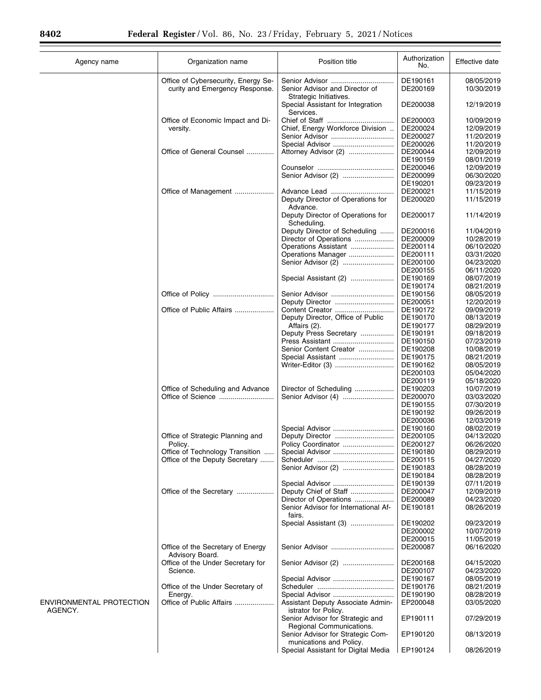$\equiv$ 

| Agency name                         | Organization name                                                     | Position title                                               | Authorization<br>No. | Effective date           |
|-------------------------------------|-----------------------------------------------------------------------|--------------------------------------------------------------|----------------------|--------------------------|
|                                     | Office of Cybersecurity, Energy Se-<br>curity and Emergency Response. | Senior Advisor and Director of<br>Strategic Initiatives.     | DE190161<br>DE200169 | 08/05/2019<br>10/30/2019 |
|                                     |                                                                       | Special Assistant for Integration<br>Services.               | DE200038             | 12/19/2019               |
|                                     | Office of Economic Impact and Di-                                     |                                                              | DE200003             | 10/09/2019               |
|                                     | versity.                                                              | Chief, Energy Workforce Division                             | DE200024             | 12/09/2019               |
|                                     |                                                                       |                                                              | DE200027             | 11/20/2019               |
|                                     |                                                                       | Special Advisor                                              | DE200026             | 11/20/2019               |
|                                     | Office of General Counsel                                             | Attorney Advisor (2)                                         | DE200044             | 12/09/2019               |
|                                     |                                                                       |                                                              | DE190159             | 08/01/2019               |
|                                     |                                                                       |                                                              | DE200046             | 12/09/2019               |
|                                     |                                                                       | Senior Advisor (2)                                           | DE200099             | 06/30/2020               |
|                                     |                                                                       |                                                              | DE190201             | 09/23/2019               |
|                                     | Office of Management                                                  |                                                              | DE200021             | 11/15/2019               |
|                                     |                                                                       | Deputy Director of Operations for<br>Advance.                | DE200020             | 11/15/2019               |
|                                     |                                                                       | Deputy Director of Operations for<br>Scheduling.             | DE200017             | 11/14/2019               |
|                                     |                                                                       | Deputy Director of Scheduling                                | DE200016             | 11/04/2019               |
|                                     |                                                                       | Director of Operations                                       | DE200009             | 10/28/2019               |
|                                     |                                                                       | Operations Assistant                                         | DE200114             | 06/10/2020               |
|                                     |                                                                       | Operations Manager                                           | DE200111             | 03/31/2020               |
|                                     |                                                                       |                                                              | DE200100             | 04/23/2020               |
|                                     |                                                                       |                                                              | DE200155             | 06/11/2020               |
|                                     |                                                                       | Special Assistant (2)                                        | DE190169             | 08/07/2019               |
|                                     |                                                                       |                                                              | DE190174             | 08/21/2019               |
|                                     |                                                                       |                                                              | DE190156             | 08/05/2019               |
|                                     |                                                                       |                                                              | DE200051             | 12/20/2019               |
|                                     | Office of Public Affairs                                              | Content Creator                                              | DE190172             | 09/09/2019               |
|                                     |                                                                       | Deputy Director, Office of Public                            | DE190170             | 08/13/2019               |
|                                     |                                                                       | Affairs (2).<br>Deputy Press Secretary                       | DE190177<br>DE190191 | 08/29/2019<br>09/18/2019 |
|                                     |                                                                       |                                                              | DE190150             | 07/23/2019               |
|                                     |                                                                       | Senior Content Creator                                       | DE190208             | 10/08/2019               |
|                                     |                                                                       | Special Assistant                                            | DE190175             | 08/21/2019               |
|                                     |                                                                       |                                                              | DE190162             | 08/05/2019               |
|                                     |                                                                       |                                                              | DE200103             | 05/04/2020               |
|                                     |                                                                       |                                                              | DE200119             | 05/18/2020               |
|                                     | Office of Scheduling and Advance                                      | Director of Scheduling                                       | DE190203             | 10/07/2019               |
|                                     |                                                                       |                                                              | DE200070             | 03/03/2020               |
|                                     |                                                                       |                                                              | DE190155             | 07/30/2019               |
|                                     |                                                                       |                                                              | DE190192             | 09/26/2019               |
|                                     |                                                                       |                                                              | DE200036             | 12/03/2019               |
|                                     |                                                                       | Special Advisor                                              | DE190160             | 08/02/2019               |
|                                     | Office of Strategic Planning and                                      |                                                              | DE200105             | 04/13/2020               |
|                                     | Policy.                                                               | Policy Coordinator                                           | DE200127             | 06/26/2020               |
|                                     | Office of Technology Transition                                       | Special Advisor                                              | DE190180             | 08/29/2019               |
|                                     | Office of the Deputy Secretary                                        |                                                              | DE200115             | 04/27/2020               |
|                                     |                                                                       | Senior Advisor (2)                                           | DE190183             | 08/28/2019               |
|                                     |                                                                       | Special Advisor                                              | DE190184<br>DE190139 | 08/28/2019<br>07/11/2019 |
|                                     | Office of the Secretary                                               | Deputy Chief of Staff                                        | DE200047             | 12/09/2019               |
|                                     |                                                                       | Director of Operations                                       | DE200089             | 04/23/2020               |
|                                     |                                                                       | Senior Advisor for International Af-<br>fairs.               | DE190181             | 08/26/2019               |
|                                     |                                                                       | Special Assistant (3)                                        | DE190202             | 09/23/2019               |
|                                     |                                                                       |                                                              | DE200002             | 10/07/2019               |
|                                     |                                                                       |                                                              | DE200015             | 11/05/2019               |
|                                     | Office of the Secretary of Energy<br>Advisory Board.                  |                                                              | DE200087             | 06/16/2020               |
|                                     | Office of the Under Secretary for                                     | Senior Advisor (2)                                           | DE200168             | 04/15/2020               |
|                                     | Science.                                                              |                                                              | DE200107             | 04/23/2020               |
|                                     |                                                                       | Special Advisor                                              | DE190167             | 08/05/2019               |
|                                     | Office of the Under Secretary of                                      |                                                              | DE190176             | 08/21/2019               |
|                                     | Energy.                                                               | Special Advisor                                              | DE190190             | 08/28/2019               |
| ENVIRONMENTAL PROTECTION<br>AGENCY. | Office of Public Affairs                                              | Assistant Deputy Associate Admin-<br>istrator for Policy.    | EP200048             | 03/05/2020               |
|                                     |                                                                       | Senior Advisor for Strategic and<br>Regional Communications. | EP190111             | 07/29/2019               |
|                                     |                                                                       | Senior Advisor for Strategic Com-<br>munications and Policy. | EP190120             | 08/13/2019               |
|                                     |                                                                       | Special Assistant for Digital Media                          | EP190124             | 08/26/2019               |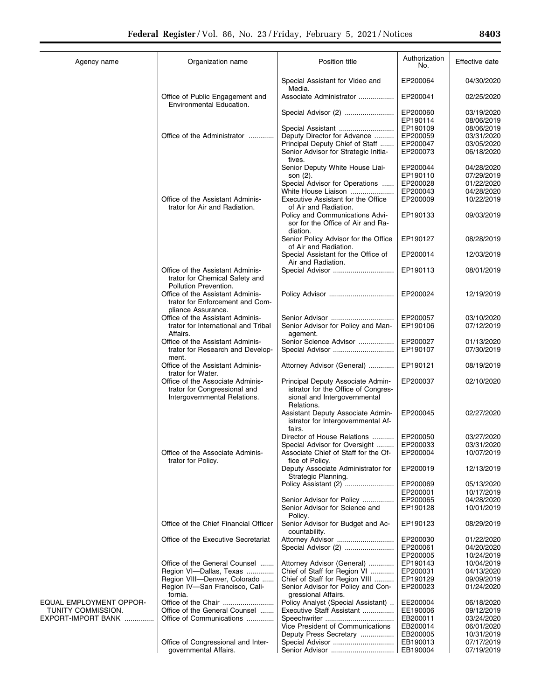|                         |                                                                                                  |                                                                                                                        | Authorization        |                          |
|-------------------------|--------------------------------------------------------------------------------------------------|------------------------------------------------------------------------------------------------------------------------|----------------------|--------------------------|
| Agency name             | Organization name                                                                                | Position title                                                                                                         | No.                  | Effective date           |
|                         |                                                                                                  | Special Assistant for Video and                                                                                        | EP200064             | 04/30/2020               |
|                         | Office of Public Engagement and<br>Environmental Education.                                      | Media.<br>Associate Administrator                                                                                      | EP200041             | 02/25/2020               |
|                         |                                                                                                  | Special Advisor (2)                                                                                                    | EP200060             | 03/19/2020               |
|                         |                                                                                                  |                                                                                                                        | EP190114             | 08/06/2019               |
|                         |                                                                                                  | Special Assistant                                                                                                      | EP190109             | 08/06/2019               |
|                         | Office of the Administrator                                                                      | Deputy Director for Advance                                                                                            | EP200059             | 03/31/2020               |
|                         |                                                                                                  | Principal Deputy Chief of Staff<br>Senior Advisor for Strategic Initia-                                                | EP200047<br>EP200073 | 03/05/2020<br>06/18/2020 |
|                         |                                                                                                  | tives.<br>Senior Deputy White House Liai-                                                                              | EP200044             | 04/28/2020               |
|                         |                                                                                                  | son (2).                                                                                                               | EP190110             | 07/29/2019               |
|                         |                                                                                                  | Special Advisor for Operations                                                                                         | EP200028             | 01/22/2020               |
|                         |                                                                                                  | White House Liaison                                                                                                    | EP200043             | 04/28/2020               |
|                         | Office of the Assistant Adminis-                                                                 | Executive Assistant for the Office                                                                                     | EP200009             | 10/22/2019               |
|                         | trator for Air and Radiation.                                                                    | of Air and Radiation.                                                                                                  |                      |                          |
|                         |                                                                                                  | Policy and Communications Advi-<br>sor for the Office of Air and Ra-<br>diation.                                       | EP190133             | 09/03/2019               |
|                         |                                                                                                  | Senior Policy Advisor for the Office<br>of Air and Radiation.                                                          | EP190127             | 08/28/2019               |
|                         |                                                                                                  | Special Assistant for the Office of<br>Air and Radiation.                                                              | EP200014             | 12/03/2019               |
|                         | Office of the Assistant Adminis-                                                                 | Special Advisor                                                                                                        | EP190113             | 08/01/2019               |
|                         | trator for Chemical Safety and<br>Pollution Prevention.                                          |                                                                                                                        |                      |                          |
|                         | Office of the Assistant Adminis-<br>trator for Enforcement and Com-<br>pliance Assurance.        |                                                                                                                        | EP200024             | 12/19/2019               |
|                         | Office of the Assistant Adminis-                                                                 | Senior Advisor                                                                                                         | EP200057             | 03/10/2020               |
|                         | trator for International and Tribal<br>Affairs.                                                  | Senior Advisor for Policy and Man-<br>agement.                                                                         | EP190106             | 07/12/2019               |
|                         | Office of the Assistant Adminis-                                                                 | Senior Science Advisor                                                                                                 | EP200027             | 01/13/2020               |
|                         | trator for Research and Develop-<br>ment.                                                        | Special Advisor                                                                                                        | EP190107             | 07/30/2019               |
|                         | Office of the Assistant Adminis-<br>trator for Water.                                            | Attorney Advisor (General)                                                                                             | EP190121             | 08/19/2019               |
|                         | Office of the Associate Adminis-<br>trator for Congressional and<br>Intergovernmental Relations. | Principal Deputy Associate Admin-<br>istrator for the Office of Congres-<br>sional and Intergovernmental<br>Relations. | EP200037             | 02/10/2020               |
|                         |                                                                                                  | Assistant Deputy Associate Admin-<br>istrator for Intergovernmental Af-<br>fairs.                                      | EP200045             | 02/27/2020               |
|                         |                                                                                                  | Director of House Relations                                                                                            | EP200050             | 03/27/2020               |
|                         | Office of the Associate Adminis-                                                                 | Special Advisor for Oversight<br>Associate Chief of Staff for the Of-                                                  | EP200033<br>EP200004 | 03/31/2020<br>10/07/2019 |
|                         | trator for Policy.                                                                               | fice of Policy.<br>Deputy Associate Administrator for                                                                  | EP200019             | 12/13/2019               |
|                         |                                                                                                  | Strategic Planning.                                                                                                    | EP200069             |                          |
|                         |                                                                                                  | Policy Assistant (2)                                                                                                   | EP200001             | 05/13/2020<br>10/17/2019 |
|                         |                                                                                                  | Senior Advisor for Policy                                                                                              | EP200065             | 04/28/2020               |
|                         |                                                                                                  | Senior Advisor for Science and<br>Policy.                                                                              | EP190128             | 10/01/2019               |
|                         | Office of the Chief Financial Officer                                                            | Senior Advisor for Budget and Ac-<br>countability.                                                                     | EP190123             | 08/29/2019               |
|                         | Office of the Executive Secretariat                                                              | Attorney Advisor                                                                                                       | EP200030             | 01/22/2020               |
|                         |                                                                                                  | Special Advisor (2)                                                                                                    | EP200061             | 04/20/2020               |
|                         |                                                                                                  |                                                                                                                        | EP200005             | 10/24/2019               |
|                         | Office of the General Counsel                                                                    | Attorney Advisor (General)                                                                                             | EP190143             | 10/04/2019               |
|                         | Region VI-Dallas, Texas                                                                          | Chief of Staff for Region VI                                                                                           | EP200031             | 04/13/2020               |
|                         | Region VIII-Denver, Colorado                                                                     | Chief of Staff for Region VIII                                                                                         | EP190129             | 09/09/2019               |
|                         | Region IV-San Francisco, Cali-<br>fornia.                                                        | Senior Advisor for Policy and Con-<br>gressional Affairs.                                                              | EP200023             | 01/24/2020               |
| EQUAL EMPLOYMENT OPPOR- |                                                                                                  | Policy Analyst (Special Assistant)                                                                                     | EE200004             | 06/18/2020               |
| TUNITY COMMISSION.      | Office of the General Counsel                                                                    | Executive Staff Assistant                                                                                              | EE190006             | 09/12/2019               |
| EXPORT-IMPORT BANK      | Office of Communications                                                                         |                                                                                                                        | EB200011             | 03/24/2020               |
|                         |                                                                                                  | Vice President of Communications                                                                                       | EB200014             | 06/01/2020               |
|                         |                                                                                                  | Deputy Press Secretary                                                                                                 | EB200005             | 10/31/2019               |
|                         | Office of Congressional and Inter-                                                               |                                                                                                                        | EB190013             | 07/17/2019               |
|                         | governmental Affairs.                                                                            |                                                                                                                        | EB190004             | 07/19/2019               |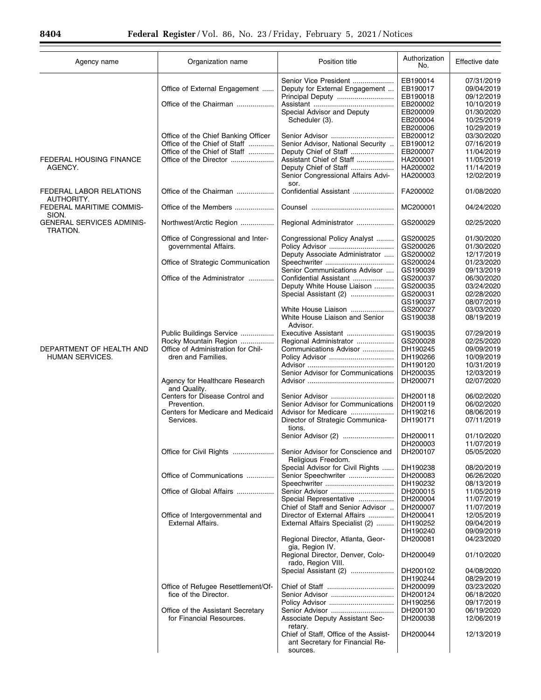| Agency name                                  | Organization name                   | Position title                                                           | Authorization<br>No. | Effective date |
|----------------------------------------------|-------------------------------------|--------------------------------------------------------------------------|----------------------|----------------|
|                                              |                                     | Senior Vice President                                                    | EB190014             | 07/31/2019     |
|                                              | Office of External Engagement       | Deputy for External Engagement                                           | EB190017             | 09/04/2019     |
|                                              |                                     | Principal Deputy                                                         | EB190018             | 09/12/2019     |
|                                              | Office of the Chairman              |                                                                          | EB200002             | 10/10/2019     |
|                                              |                                     | Special Advisor and Deputy                                               | EB200009             | 01/30/2020     |
|                                              |                                     | Scheduler (3).                                                           | EB200004             | 10/25/2019     |
|                                              |                                     |                                                                          | EB200006             | 10/29/2019     |
|                                              | Office of the Chief Banking Officer |                                                                          | EB200012             | 03/30/2020     |
|                                              | Office of the Chief of Staff        | Senior Advisor, National Security                                        | EB190012             | 07/16/2019     |
|                                              | Office of the Chief of Staff        | Deputy Chief of Staff                                                    | EB200007             | 11/04/2019     |
| <b>FEDERAL HOUSING FINANCE</b>               | Office of the Director              | Assistant Chief of Staff                                                 | HA200001             | 11/05/2019     |
| AGENCY.                                      |                                     | Deputy Chief of Staff                                                    | HA200002             | 11/14/2019     |
|                                              |                                     | Senior Congressional Affairs Advi-                                       | HA200003             | 12/02/2019     |
| FEDERAL LABOR RELATIONS                      | Office of the Chairman              | sor.<br>Confidential Assistant                                           | FA200002             | 01/08/2020     |
| AUTHORITY.                                   |                                     |                                                                          |                      |                |
| FEDERAL MARITIME COMMIS-<br>SION.            | Office of the Members               |                                                                          | MC200001             | 04/24/2020     |
| <b>GENERAL SERVICES ADMINIS-</b><br>TRATION. | Northwest/Arctic Region             | Regional Administrator                                                   | GS200029             | 02/25/2020     |
|                                              | Office of Congressional and Inter-  | Congressional Policy Analyst                                             | GS200025             | 01/30/2020     |
|                                              | governmental Affairs.               |                                                                          | GS200026             | 01/30/2020     |
|                                              |                                     | Deputy Associate Administrator                                           | GS200002             | 12/17/2019     |
|                                              | Office of Strategic Communication   |                                                                          | GS200024             | 01/23/2020     |
|                                              |                                     | Senior Communications Advisor                                            | GS190039             | 09/13/2019     |
|                                              | Office of the Administrator         | Confidential Assistant                                                   | GS200037             | 06/30/2020     |
|                                              |                                     | Deputy White House Liaison                                               | GS200035             | 03/24/2020     |
|                                              |                                     | Special Assistant (2)                                                    | GS200031             | 02/28/2020     |
|                                              |                                     |                                                                          | GS190037             | 08/07/2019     |
|                                              |                                     | White House Liaison                                                      | GS200027             | 03/03/2020     |
|                                              |                                     | White House Liaison and Senior<br>Advisor.                               | GS190038             | 08/19/2019     |
|                                              | Public Buildings Service            | Executive Assistant                                                      | GS190035             | 07/29/2019     |
|                                              | Rocky Mountain Region               | Regional Administrator                                                   | GS200028             | 02/25/2020     |
| DEPARTMENT OF HEALTH AND                     | Office of Administration for Chil-  | Communications Advisor                                                   | DH190245             | 09/09/2019     |
| HUMAN SERVICES.                              | dren and Families.                  |                                                                          | DH190266             | 10/09/2019     |
|                                              |                                     |                                                                          | DH190120             | 10/31/2019     |
|                                              |                                     | Senior Advisor for Communications                                        | DH200035             | 12/03/2019     |
|                                              | Agency for Healthcare Research      |                                                                          | DH200071             | 02/07/2020     |
|                                              | and Quality.                        |                                                                          |                      |                |
|                                              | Centers for Disease Control and     |                                                                          | DH200118             | 06/02/2020     |
|                                              | Prevention.                         | Senior Advisor for Communications                                        | DH200119             | 06/02/2020     |
|                                              | Centers for Medicare and Medicaid   | Advisor for Medicare                                                     | DH190216             | 08/06/2019     |
|                                              | Services.                           | Director of Strategic Communica-<br>tions.                               | DH190171             | 07/11/2019     |
|                                              |                                     |                                                                          | DH200011             | 01/10/2020     |
|                                              |                                     |                                                                          | DH200003             | 11/07/2019     |
|                                              | Office for Civil Rights             | Senior Advisor for Conscience and                                        | DH200107             | 05/05/2020     |
|                                              |                                     | Religious Freedom.                                                       |                      |                |
|                                              |                                     | Special Advisor for Civil Rights                                         | DH190238             | 08/20/2019     |
|                                              | Office of Communications            | Senior Speechwriter                                                      | DH200083             | 06/26/2020     |
|                                              |                                     | Speechwriter                                                             | DH190232             | 08/13/2019     |
|                                              | Office of Global Affairs            |                                                                          | DH200015             | 11/05/2019     |
|                                              |                                     | Special Representative                                                   | DH200004             | 11/07/2019     |
|                                              |                                     | Chief of Staff and Senior Advisor                                        | DH200007             | 11/07/2019     |
|                                              | Office of Intergovernmental and     | Director of External Affairs                                             | DH200041             | 12/05/2019     |
|                                              | <b>External Affairs.</b>            | External Affairs Specialist (2)                                          | DH190252             | 09/04/2019     |
|                                              |                                     |                                                                          | DH190240             | 09/09/2019     |
|                                              |                                     | Regional Director, Atlanta, Geor-<br>gia, Region IV.                     | DH200081             | 04/23/2020     |
|                                              |                                     | Regional Director, Denver, Colo-<br>rado, Region VIII.                   | DH200049             | 01/10/2020     |
|                                              |                                     | Special Assistant (2)                                                    | DH200102             | 04/08/2020     |
|                                              |                                     |                                                                          | DH190244             |                |
|                                              |                                     |                                                                          |                      | 08/29/2019     |
|                                              | Office of Refugee Resettlement/Of-  |                                                                          | DH200099             | 03/23/2020     |
|                                              | fice of the Director.               |                                                                          | DH200124             | 06/18/2020     |
|                                              |                                     |                                                                          | DH190256             | 09/17/2019     |
|                                              | Office of the Assistant Secretary   | Senior Advisor                                                           | DH200130             | 06/19/2020     |
|                                              | for Financial Resources.            | Associate Deputy Assistant Sec-<br>retary.                               | DH200038             | 12/06/2019     |
|                                              |                                     | Chief of Staff, Office of the Assist-<br>ant Secretary for Financial Re- | DH200044             | 12/13/2019     |
|                                              |                                     | sources.                                                                 |                      |                |

 $\equiv$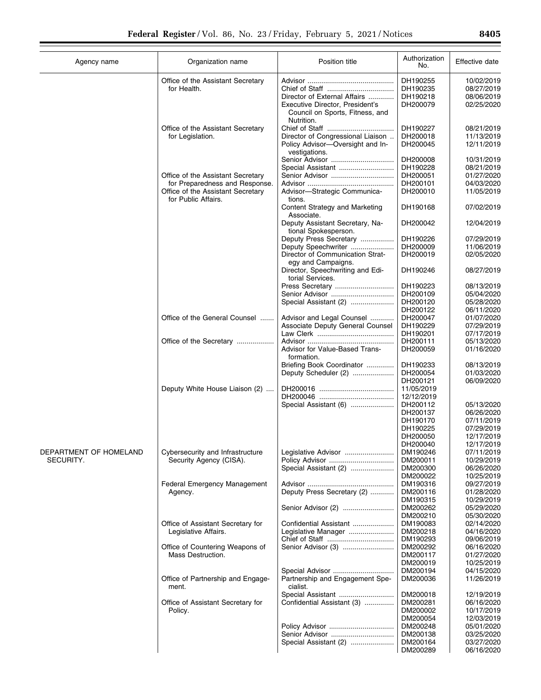| Agency name            | Organization name                                                   | Position title                                                                   | Authorization<br>No.     | Effective date           |
|------------------------|---------------------------------------------------------------------|----------------------------------------------------------------------------------|--------------------------|--------------------------|
|                        | Office of the Assistant Secretary                                   |                                                                                  | DH190255                 | 10/02/2019               |
|                        | for Health.                                                         |                                                                                  | DH190235                 | 08/27/2019               |
|                        |                                                                     | Director of External Affairs                                                     | DH190218                 | 08/06/2019               |
|                        |                                                                     | Executive Director, President's<br>Council on Sports, Fitness, and<br>Nutrition. | DH200079                 | 02/25/2020               |
|                        | Office of the Assistant Secretary                                   |                                                                                  | DH190227                 | 08/21/2019               |
|                        | for Legislation.                                                    | Director of Congressional Liaison                                                | DH200018                 | 11/13/2019               |
|                        |                                                                     | Policy Advisor-Oversight and In-<br>vestigations.                                | DH200045                 | 12/11/2019               |
|                        |                                                                     | Senior Advisor                                                                   | DH200008                 | 10/31/2019               |
|                        |                                                                     | Special Assistant                                                                | DH190228                 | 08/21/2019               |
|                        | Office of the Assistant Secretary<br>for Preparedness and Response. |                                                                                  | DH200051<br>DH200101     | 01/27/2020<br>04/03/2020 |
|                        | Office of the Assistant Secretary<br>for Public Affairs.            | Advisor-Strategic Communica-<br>tions.                                           | DH200010                 | 11/05/2019               |
|                        |                                                                     | Content Strategy and Marketing<br>Associate.                                     | DH190168                 | 07/02/2019               |
|                        |                                                                     | Deputy Assistant Secretary, Na-<br>tional Spokesperson.                          | DH200042                 | 12/04/2019               |
|                        |                                                                     | Deputy Press Secretary                                                           | DH190226                 | 07/29/2019               |
|                        |                                                                     | Deputy Speechwriter                                                              | DH200009                 | 11/06/2019               |
|                        |                                                                     | Director of Communication Strat-<br>egy and Campaigns.                           | DH200019                 | 02/05/2020               |
|                        |                                                                     | Director, Speechwriting and Edi-<br>torial Services.                             | DH190246                 | 08/27/2019               |
|                        |                                                                     | Press Secretary                                                                  | DH190223                 | 08/13/2019               |
|                        |                                                                     | Senior Advisor<br>Special Assistant (2)                                          | DH200109<br>DH200120     | 05/04/2020<br>05/28/2020 |
|                        |                                                                     |                                                                                  | DH200122                 | 06/11/2020               |
|                        | Office of the General Counsel                                       | Advisor and Legal Counsel                                                        | DH200047                 | 01/07/2020               |
|                        |                                                                     | Associate Deputy General Counsel                                                 | DH190229                 | 07/29/2019               |
|                        |                                                                     |                                                                                  | DH190201                 | 07/17/2019               |
|                        | Office of the Secretary                                             |                                                                                  | DH200111                 | 05/13/2020               |
|                        |                                                                     | Advisor for Value-Based Trans-<br>formation.                                     | DH200059                 | 01/16/2020               |
|                        |                                                                     | Briefing Book Coordinator                                                        | DH190233                 | 08/13/2019               |
|                        |                                                                     | Deputy Scheduler (2)                                                             | DH200054                 | 01/03/2020               |
|                        |                                                                     |                                                                                  | DH200121                 | 06/09/2020               |
|                        | Deputy White House Liaison (2)                                      |                                                                                  | 11/05/2019<br>12/12/2019 |                          |
|                        |                                                                     | Special Assistant (6)                                                            | DH200112                 | 05/13/2020               |
|                        |                                                                     |                                                                                  | DH200137                 | 06/26/2020               |
|                        |                                                                     |                                                                                  | DH190170                 | 07/11/2019               |
|                        |                                                                     |                                                                                  | DH190225                 | 07/29/2019               |
|                        |                                                                     |                                                                                  | DH200050                 | 12/17/2019               |
|                        |                                                                     |                                                                                  | DH200040                 | 12/17/2019               |
| DEPARTMENT OF HOMELAND | Cybersecurity and Infrastructure                                    | Legislative Advisor                                                              | DM190246                 | 07/11/2019               |
| SECURITY.              | Security Agency (CISA).                                             | Policy Advisor<br>Special Assistant (2)                                          | DM200011<br>DM200300     | 10/29/2019<br>06/26/2020 |
|                        |                                                                     |                                                                                  | DM200022                 | 10/25/2019               |
|                        | <b>Federal Emergency Management</b>                                 |                                                                                  | DM190316                 | 09/27/2019               |
|                        | Agency.                                                             | Deputy Press Secretary (2)                                                       | DM200116                 | 01/28/2020               |
|                        |                                                                     |                                                                                  | DM190315                 | 10/29/2019               |
|                        |                                                                     | Senior Advisor (2)                                                               | DM200262                 | 05/29/2020               |
|                        |                                                                     |                                                                                  | DM200210                 | 05/30/2020               |
|                        | Office of Assistant Secretary for                                   | Confidential Assistant                                                           | DM190083                 | 02/14/2020               |
|                        | Legislative Affairs.                                                | Legislative Manager                                                              | DM200218                 | 04/16/2020               |
|                        | Office of Countering Weapons of                                     |                                                                                  | DM190293<br>DM200292     | 09/06/2019<br>06/16/2020 |
|                        | Mass Destruction.                                                   |                                                                                  | DM200117                 | 01/27/2020               |
|                        |                                                                     |                                                                                  | DM200019                 | 10/25/2019               |
|                        |                                                                     | Special Advisor                                                                  | DM200194                 | 04/15/2020               |
|                        | Office of Partnership and Engage-<br>ment.                          | Partnership and Engagement Spe-<br>cialist.                                      | DM200036                 | 11/26/2019               |
|                        |                                                                     | Special Assistant                                                                | DM200018                 | 12/19/2019               |
|                        | Office of Assistant Secretary for                                   | Confidential Assistant (3)                                                       | DM200281                 | 06/16/2020               |
|                        | Policy.                                                             |                                                                                  | DM200002                 | 10/17/2019               |
|                        |                                                                     |                                                                                  | DM200054                 | 12/03/2019               |
|                        |                                                                     | Policy Advisor                                                                   | DM200248                 | 05/01/2020               |
|                        |                                                                     | Senior Advisor                                                                   | DM200138                 | 03/25/2020               |
|                        |                                                                     | Special Assistant (2)                                                            | DM200164<br>DM200289     | 03/27/2020<br>06/16/2020 |
|                        |                                                                     |                                                                                  |                          |                          |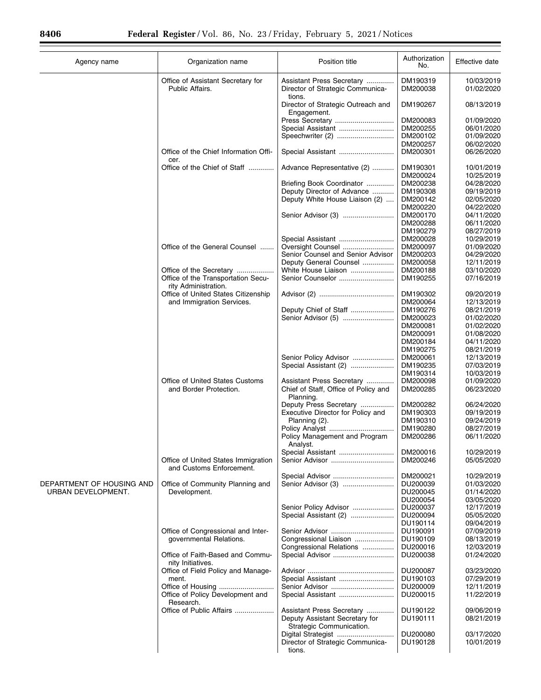| Agency name                                     | Organization name                                               | Position title                                                | Authorization<br>No. | Effective date           |
|-------------------------------------------------|-----------------------------------------------------------------|---------------------------------------------------------------|----------------------|--------------------------|
|                                                 | Office of Assistant Secretary for<br>Public Affairs.            | Assistant Press Secretary<br>Director of Strategic Communica- | DM190319<br>DM200038 | 10/03/2019<br>01/02/2020 |
|                                                 |                                                                 | tions.<br>Director of Strategic Outreach and<br>Engagement.   | DM190267             | 08/13/2019               |
|                                                 |                                                                 | Press Secretary                                               | DM200083             | 01/09/2020               |
|                                                 |                                                                 | Special Assistant                                             | DM200255             | 06/01/2020               |
|                                                 |                                                                 | Speechwriter (2)                                              | DM200102             | 01/09/2020               |
|                                                 | Office of the Chief Information Offi-                           | Special Assistant                                             | DM200257<br>DM200301 | 06/02/2020<br>06/26/2020 |
|                                                 | cer.<br>Office of the Chief of Staff                            | Advance Representative (2)                                    | DM190301             | 10/01/2019               |
|                                                 |                                                                 | Briefing Book Coordinator                                     | DM200024<br>DM200238 | 10/25/2019<br>04/28/2020 |
|                                                 |                                                                 | Deputy Director of Advance                                    | DM190308             | 09/19/2019               |
|                                                 |                                                                 | Deputy White House Liaison (2)                                | DM200142             | 02/05/2020               |
|                                                 |                                                                 |                                                               | DM200220             | 04/22/2020               |
|                                                 |                                                                 | Senior Advisor (3)                                            | DM200170             | 04/11/2020               |
|                                                 |                                                                 |                                                               | DM200288             | 06/11/2020               |
|                                                 |                                                                 |                                                               | DM190279             | 08/27/2019               |
|                                                 | Office of the General Counsel                                   | Special Assistant<br>Oversight Counsel                        | DM200028<br>DM200097 | 10/29/2019<br>01/09/2020 |
|                                                 |                                                                 | Senior Counsel and Senior Advisor                             | DM200203             | 04/29/2020               |
|                                                 |                                                                 | Deputy General Counsel                                        | DM200058             | 12/11/2019               |
|                                                 | Office of the Secretary                                         | White House Liaison                                           | DM200188             | 03/10/2020               |
|                                                 | Office of the Transportation Secu-<br>rity Administration.      | Senior Counselor                                              | DM190255             | 07/16/2019               |
|                                                 | Office of United States Citizenship                             |                                                               | DM190302             | 09/20/2019               |
|                                                 | and Immigration Services.                                       |                                                               | DM200064             | 12/13/2019               |
|                                                 |                                                                 | Deputy Chief of Staff<br>Senior Advisor (5)                   | DM190276<br>DM200023 | 08/21/2019<br>01/02/2020 |
|                                                 |                                                                 |                                                               | DM200081             | 01/02/2020               |
|                                                 |                                                                 |                                                               | DM200091             | 01/08/2020               |
|                                                 |                                                                 |                                                               | DM200184             | 04/11/2020               |
|                                                 |                                                                 |                                                               | DM190275             | 08/21/2019               |
|                                                 |                                                                 | Senior Policy Advisor                                         | DM200061             | 12/13/2019               |
|                                                 |                                                                 | Special Assistant (2)                                         | DM190235             | 07/03/2019               |
|                                                 | Office of United States Customs                                 | Assistant Press Secretary                                     | DM190314<br>DM200098 | 10/03/2019<br>01/09/2020 |
|                                                 | and Border Protection.                                          | Chief of Staff, Office of Policy and<br>Planning.             | DM200285             | 06/23/2020               |
|                                                 |                                                                 | Deputy Press Secretary                                        | DM200282             | 06/24/2020               |
|                                                 |                                                                 | Executive Director for Policy and                             | DM190303             | 09/19/2019               |
|                                                 |                                                                 | Planning (2).                                                 | DM190310             | 09/24/2019               |
|                                                 |                                                                 | Policy Management and Program                                 | DM190280<br>DM200286 | 08/27/2019<br>06/11/2020 |
|                                                 |                                                                 | Analvst.<br>Special Assistant                                 | DM200016             | 10/29/2019               |
|                                                 | Office of United States Immigration<br>and Customs Enforcement. |                                                               | DM200246             | 05/05/2020               |
|                                                 |                                                                 |                                                               | DM200021             | 10/29/2019               |
| DEPARTMENT OF HOUSING AND<br>URBAN DEVELOPMENT. | Office of Community Planning and<br>Development.                |                                                               | DU200039<br>DU200045 | 01/03/2020<br>01/14/2020 |
|                                                 |                                                                 |                                                               | DU200054             | 03/05/2020               |
|                                                 |                                                                 | Senior Policy Advisor                                         | DU200037             | 12/17/2019               |
|                                                 |                                                                 | Special Assistant (2)                                         | DU200094             | 05/05/2020               |
|                                                 |                                                                 |                                                               | DU190114             | 09/04/2019               |
|                                                 | Office of Congressional and Inter-                              |                                                               | DU190091             | 07/09/2019               |
|                                                 | governmental Relations.                                         | Congressional Liaison<br>Congressional Relations              | DU190109<br>DU200016 | 08/13/2019<br>12/03/2019 |
|                                                 | Office of Faith-Based and Commu-<br>nity Initiatives.           | Special Advisor                                               | DU200038             | 01/24/2020               |
|                                                 | Office of Field Policy and Manage-                              |                                                               | DU200087             | 03/23/2020               |
|                                                 | ment.                                                           | Special Assistant                                             | DU190103<br>DU200009 | 07/29/2019<br>12/11/2019 |
|                                                 | Office of Policy Development and                                | Special Assistant                                             | DU200015             | 11/22/2019               |
|                                                 | Research.<br>Office of Public Affairs                           | Assistant Press Secretary                                     | DU190122             | 09/06/2019               |
|                                                 |                                                                 | Deputy Assistant Secretary for<br>Strategic Communication.    | DU190111             | 08/21/2019               |
|                                                 |                                                                 | Digital Strategist                                            | DU200080             | 03/17/2020               |
|                                                 |                                                                 | Director of Strategic Communica-<br>tions.                    | DU190128             | 10/01/2019               |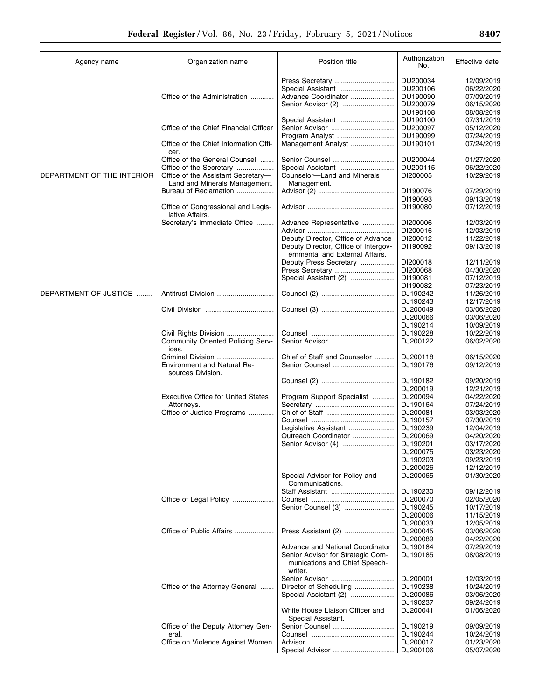| Agency name                | Organization name                                                            | Position title                                                     | Authorization<br>No. | Effective date           |
|----------------------------|------------------------------------------------------------------------------|--------------------------------------------------------------------|----------------------|--------------------------|
|                            |                                                                              | Press Secretary                                                    | DU200034             | 12/09/2019               |
|                            |                                                                              | Special Assistant                                                  | DU200106             | 06/22/2020               |
|                            | Office of the Administration                                                 | Advance Coordinator                                                | DU190090             | 07/09/2019               |
|                            |                                                                              |                                                                    | DU200079             | 06/15/2020               |
|                            |                                                                              |                                                                    | DU190108             | 08/08/2019               |
|                            |                                                                              | Special Assistant                                                  | DU190100             | 07/31/2019               |
|                            | Office of the Chief Financial Officer                                        | Senior Advisor                                                     | DU200097             | 05/12/2020               |
|                            |                                                                              | Program Analyst                                                    | DU190099             | 07/24/2019               |
|                            | Office of the Chief Information Offi-<br>cer.                                | Management Analyst                                                 | DU190101             | 07/24/2019               |
|                            | Office of the General Counsel                                                | Senior Counsel                                                     | DU200044             | 01/27/2020               |
|                            | Office of the Secretary                                                      |                                                                    | DU200115             | 06/22/2020               |
| DEPARTMENT OF THE INTERIOR | Office of the Assistant Secretary-                                           | Counselor-Land and Minerals                                        | DI200005             | 10/29/2019               |
|                            | Land and Minerals Management.                                                | Management.                                                        |                      |                          |
|                            | Bureau of Reclamation                                                        |                                                                    | DI190076             | 07/29/2019               |
|                            |                                                                              |                                                                    | DI190093             | 09/13/2019               |
|                            | Office of Congressional and Legis-<br>lative Affairs.                        |                                                                    | DI190080             | 07/12/2019               |
|                            | Secretary's Immediate Office                                                 | Advance Representative                                             | DI200006             | 12/03/2019               |
|                            |                                                                              |                                                                    | DI200016             | 12/03/2019               |
|                            |                                                                              | Deputy Director, Office of Advance                                 | DI200012             | 11/22/2019               |
|                            |                                                                              | Deputy Director, Office of Intergov-                               | DI190092             | 09/13/2019               |
|                            |                                                                              | ernmental and External Affairs.                                    |                      |                          |
|                            |                                                                              | Deputy Press Secretary                                             | DI200018             | 12/11/2019               |
|                            |                                                                              | Press Secretary                                                    | DI200068             | 04/30/2020               |
|                            |                                                                              | Special Assistant (2)                                              | DI190081             | 07/12/2019               |
|                            |                                                                              |                                                                    | DI190082             | 07/23/2019               |
| DEPARTMENT OF JUSTICE      |                                                                              |                                                                    | DJ190242             | 11/26/2019               |
|                            |                                                                              |                                                                    | DJ190243             | 12/17/2019               |
|                            |                                                                              |                                                                    | DJ200049             | 03/06/2020               |
|                            |                                                                              |                                                                    | DJ200066             | 03/06/2020               |
|                            |                                                                              |                                                                    | DJ190214             | 10/09/2019               |
|                            | Civil Rights Division                                                        |                                                                    | DJ190228             | 10/22/2019               |
|                            | <b>Community Oriented Policing Serv-</b><br>ices.                            | Senior Advisor                                                     | DJ200122             | 06/02/2020               |
|                            | Criminal Division<br><b>Environment and Natural Re-</b><br>sources Division. | Chief of Staff and Counselor<br>Senior Counsel                     | DJ200118<br>DJ190176 | 06/15/2020<br>09/12/2019 |
|                            |                                                                              |                                                                    | DJ190182             | 09/20/2019               |
|                            |                                                                              |                                                                    | DJ200019             | 12/21/2019               |
|                            | <b>Executive Office for United States</b>                                    | Program Support Specialist                                         | DJ200094             | 04/22/2020               |
|                            | Attorneys.                                                                   |                                                                    | DJ190164             | 07/24/2019               |
|                            | Office of Justice Programs                                                   |                                                                    | DJ200081             | 03/03/2020               |
|                            |                                                                              |                                                                    | DJ190157             | 07/30/2019               |
|                            |                                                                              | Legislative Assistant                                              | DJ190239             | 12/04/2019               |
|                            |                                                                              | Outreach Coordinator                                               | DJ200069             | 04/20/2020               |
|                            |                                                                              | Senior Advisor (4)                                                 | DJ190201             | 03/17/2020               |
|                            |                                                                              |                                                                    | DJ200075             | 03/23/2020               |
|                            |                                                                              |                                                                    | DJ190203             | 09/23/2019               |
|                            |                                                                              | Special Advisor for Policy and                                     | DJ200026<br>DJ200065 | 12/12/2019<br>01/30/2020 |
|                            |                                                                              | Communications.<br>Staff Assistant                                 |                      |                          |
|                            |                                                                              |                                                                    | DJ190230             | 09/12/2019               |
|                            | Office of Legal Policy                                                       | Senior Counsel (3)                                                 | DJ200070             | 02/05/2020               |
|                            |                                                                              |                                                                    | DJ190245             | 10/17/2019               |
|                            |                                                                              |                                                                    | DJ200006             | 11/15/2019               |
|                            |                                                                              |                                                                    | DJ200033             | 12/05/2019               |
|                            | Office of Public Affairs                                                     | Press Assistant (2)                                                | DJ200045             | 03/06/2020               |
|                            |                                                                              |                                                                    | DJ200089             | 04/22/2020               |
|                            |                                                                              | Advance and National Coordinator                                   | DJ190184             | 07/29/2019               |
|                            |                                                                              | Senior Advisor for Strategic Com-<br>munications and Chief Speech- | DJ190185             | 08/08/2019               |
|                            |                                                                              | writer.                                                            |                      |                          |
|                            |                                                                              | Senior Advisor                                                     | DJ200001             | 12/03/2019               |
|                            | Office of the Attorney General                                               | Director of Scheduling                                             | DJ190238             | 10/24/2019               |
|                            |                                                                              | Special Assistant (2)                                              | DJ200086             | 03/06/2020               |
|                            |                                                                              |                                                                    | DJ190237             | 09/24/2019               |
|                            |                                                                              | White House Liaison Officer and<br>Special Assistant.              | DJ200041             | 01/06/2020               |
|                            | Office of the Deputy Attorney Gen-                                           | Senior Counsel                                                     | DJ190219             | 09/09/2019               |
|                            | eral.                                                                        |                                                                    | DJ190244             | 10/24/2019               |
|                            | Office on Violence Against Women                                             |                                                                    | DJ200017             | 01/23/2020               |
|                            |                                                                              |                                                                    | DJ200106             | 05/07/2020               |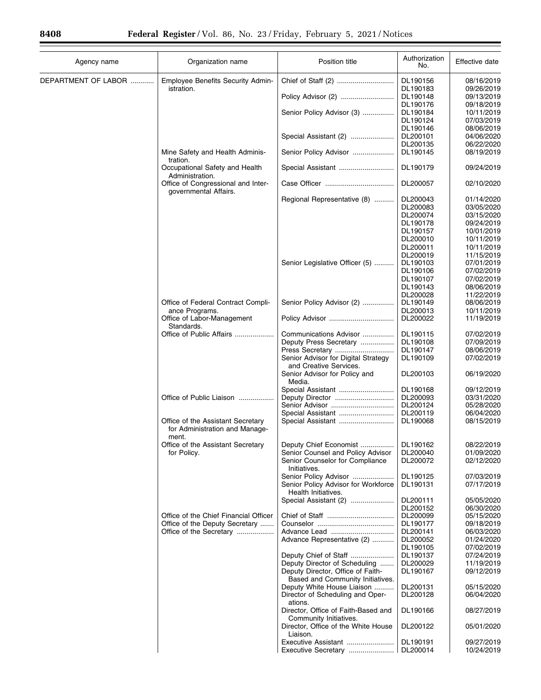$\equiv$ 

| Agency name         | Organization name                                                   | Position title                                                        | Authorization<br>No. | Effective date           |
|---------------------|---------------------------------------------------------------------|-----------------------------------------------------------------------|----------------------|--------------------------|
| DEPARTMENT OF LABOR | Employee Benefits Security Admin-<br>istration.                     |                                                                       | DL190156<br>DL190183 | 08/16/2019<br>09/26/2019 |
|                     |                                                                     |                                                                       | DL190148             | 09/13/2019               |
|                     |                                                                     |                                                                       | DL190176             | 09/18/2019               |
|                     |                                                                     | Senior Policy Advisor (3)                                             | DL190184             | 10/11/2019               |
|                     |                                                                     |                                                                       | DL190124             | 07/03/2019               |
|                     |                                                                     |                                                                       | DL190146             | 08/06/2019               |
|                     |                                                                     | Special Assistant (2)                                                 |                      |                          |
|                     |                                                                     |                                                                       | DL200101             | 04/06/2020               |
|                     |                                                                     |                                                                       | DL200135             | 06/22/2020               |
|                     | Mine Safety and Health Adminis-                                     | Senior Policy Advisor                                                 | DL190145             | 08/19/2019               |
|                     | tration.<br>Occupational Safety and Health                          | Special Assistant                                                     | DL190179             | 09/24/2019               |
|                     | Administration.<br>Office of Congressional and Inter-               |                                                                       | DL200057             | 02/10/2020               |
|                     | governmental Affairs.                                               |                                                                       |                      |                          |
|                     |                                                                     | Regional Representative (8)                                           | DL200043             | 01/14/2020               |
|                     |                                                                     |                                                                       | DL200083             | 03/05/2020               |
|                     |                                                                     |                                                                       | DL200074             | 03/15/2020               |
|                     |                                                                     |                                                                       | DL190178             | 09/24/2019               |
|                     |                                                                     |                                                                       | DL190157             | 10/01/2019               |
|                     |                                                                     |                                                                       | DL200010             | 10/11/2019               |
|                     |                                                                     |                                                                       | DL200011             | 10/11/2019               |
|                     |                                                                     |                                                                       | DL200019             | 11/15/2019               |
|                     |                                                                     | Senior Legislative Officer (5)                                        | DL190103             | 07/01/2019               |
|                     |                                                                     |                                                                       | DL190106             | 07/02/2019               |
|                     |                                                                     |                                                                       | DL190107             | 07/02/2019               |
|                     |                                                                     |                                                                       | DL190143             | 08/06/2019               |
|                     |                                                                     |                                                                       | DL200028             | 11/22/2019               |
|                     | Office of Federal Contract Compli-                                  | Senior Policy Advisor (2)                                             | DL190149             | 08/06/2019               |
|                     | ance Programs.                                                      |                                                                       | DL200013             | 10/11/2019               |
|                     | Office of Labor-Management<br>Standards.                            |                                                                       | DL200022             | 11/19/2019               |
|                     | Office of Public Affairs                                            | Communications Advisor                                                | DL190115             | 07/02/2019               |
|                     |                                                                     | Deputy Press Secretary                                                | DL190108             | 07/09/2019               |
|                     |                                                                     | Press Secretary                                                       | DL190147             | 08/06/2019               |
|                     |                                                                     | Senior Advisor for Digital Strategy<br>and Creative Services.         | DL190109             | 07/02/2019               |
|                     |                                                                     | Senior Advisor for Policy and<br>Media.                               | DL200103             | 06/19/2020               |
|                     |                                                                     | Special Assistant                                                     | DL190168             | 09/12/2019               |
|                     | Office of Public Liaison                                            | Deputy Director                                                       | DL200093             | 03/31/2020               |
|                     |                                                                     | Senior Advisor                                                        | DL200124             | 05/28/2020               |
|                     |                                                                     | Special Assistant                                                     | DL200119             | 06/04/2020               |
|                     | Office of the Assistant Secretary<br>for Administration and Manage- | Special Assistant                                                     | DL190068             | 08/15/2019               |
|                     | ment.                                                               | Deputy Chief Economist                                                |                      |                          |
|                     | Office of the Assistant Secretary<br>for Policy.                    | Senior Counsel and Policy Advisor                                     | DL190162<br>DL200040 | 08/22/2019<br>01/09/2020 |
|                     |                                                                     | Senior Counselor for Compliance                                       | DL200072             | 02/12/2020               |
|                     |                                                                     | Initiatives.                                                          |                      |                          |
|                     |                                                                     | Senior Policy Advisor<br>Senior Policy Advisor for Workforce          | DL190125<br>DL190131 | 07/03/2019<br>07/17/2019 |
|                     |                                                                     | Health Initiatives.                                                   |                      |                          |
|                     |                                                                     | Special Assistant (2)                                                 | DL200111             | 05/05/2020               |
|                     |                                                                     |                                                                       | DL200152             | 06/30/2020               |
|                     | Office of the Chief Financial Officer                               |                                                                       | DL200099             | 05/15/2020               |
|                     | Office of the Deputy Secretary                                      |                                                                       | DL190177             | 09/18/2019               |
|                     | Office of the Secretary                                             | Advance Lead                                                          | DL200141             | 06/03/2020               |
|                     |                                                                     | Advance Representative (2)                                            | DL200052             | 01/24/2020               |
|                     |                                                                     |                                                                       | DL190105             | 07/02/2019               |
|                     |                                                                     |                                                                       | DL190137             | 07/24/2019               |
|                     |                                                                     | Deputy Director of Scheduling                                         | DL200029             | 11/19/2019               |
|                     |                                                                     | Deputy Director, Office of Faith-<br>Based and Community Initiatives. | DL190167             | 09/12/2019               |
|                     |                                                                     | Deputy White House Liaison                                            | DL200131             | 05/15/2020               |
|                     |                                                                     | Director of Scheduling and Oper-                                      | DL200128             | 06/04/2020               |
|                     |                                                                     | ations.<br>Director, Office of Faith-Based and                        | DL190166             | 08/27/2019               |
|                     |                                                                     | Community Initiatives.<br>Director, Office of the White House         | DL200122             | 05/01/2020               |
|                     |                                                                     | Liaison.                                                              |                      |                          |
|                     |                                                                     | Executive Assistant                                                   | DL190191             | 09/27/2019               |
|                     |                                                                     | Executive Secretary                                                   | DL200014             | 10/24/2019               |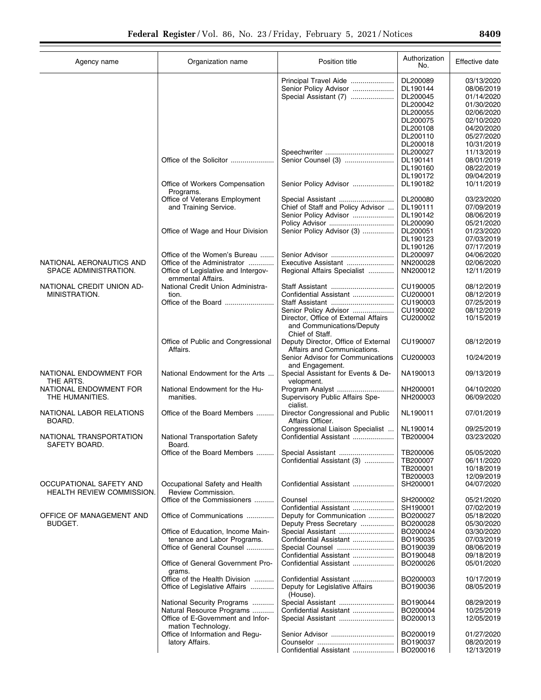| 409<br>я |  |
|----------|--|
|          |  |
|          |  |
|          |  |

| Agency name                                          | Organization name                                              | Position title                                                                       | Authorization<br>No. | Effective date           |
|------------------------------------------------------|----------------------------------------------------------------|--------------------------------------------------------------------------------------|----------------------|--------------------------|
|                                                      |                                                                | Principal Travel Aide                                                                | DL200089             | 03/13/2020               |
|                                                      |                                                                | Senior Policy Advisor                                                                | DL190144             | 08/06/2019               |
|                                                      |                                                                | Special Assistant (7)                                                                | DL200045             | 01/14/2020               |
|                                                      |                                                                |                                                                                      | DL200042             | 01/30/2020               |
|                                                      |                                                                |                                                                                      | DL200055             | 02/06/2020               |
|                                                      |                                                                |                                                                                      | DL200075             | 02/10/2020               |
|                                                      |                                                                |                                                                                      | DL200108             | 04/20/2020               |
|                                                      |                                                                |                                                                                      | DL200110             | 05/27/2020               |
|                                                      |                                                                |                                                                                      | DL200018             | 10/31/2019               |
|                                                      |                                                                |                                                                                      | DL200027             | 11/13/2019               |
|                                                      | Office of the Solicitor                                        | Senior Counsel (3)                                                                   | DL190141             | 08/01/2019               |
|                                                      |                                                                |                                                                                      | DL190160             | 08/22/2019               |
|                                                      |                                                                |                                                                                      | DL190172             | 09/04/2019               |
|                                                      | Office of Workers Compensation<br>Programs.                    | Senior Policy Advisor                                                                | DL190182             | 10/11/2019               |
|                                                      | Office of Veterans Employment                                  | Special Assistant                                                                    | DL200080             | 03/23/2020               |
|                                                      | and Training Service.                                          | Chief of Staff and Policy Advisor                                                    | DL190111             | 07/09/2019               |
|                                                      |                                                                | Senior Policy Advisor                                                                | DL190142             | 08/06/2019               |
|                                                      |                                                                | Policy Advisor                                                                       | DL200090             | 05/21/2020               |
|                                                      | Office of Wage and Hour Division                               | Senior Policy Advisor (3)                                                            | DL200051             | 01/23/2020               |
|                                                      |                                                                |                                                                                      | DL190123             | 07/03/2019               |
|                                                      |                                                                |                                                                                      | DL190126             | 07/17/2019               |
|                                                      | Office of the Women's Bureau                                   |                                                                                      | DL200097             | 04/06/2020               |
| NATIONAL AERONAUTICS AND                             | Office of the Administrator                                    | Executive Assistant                                                                  | NN200028             | 02/06/2020               |
| SPACE ADMINISTRATION.                                | Office of Legislative and Intergov-<br>ernmental Affairs.      | Regional Affairs Specialist                                                          | NN200012             | 12/11/2019               |
| NATIONAL CREDIT UNION AD-                            | National Credit Union Administra-                              | Staff Assistant                                                                      | CU190005             | 08/12/2019               |
| MINISTRATION.                                        | tion.                                                          | Confidential Assistant                                                               | CU200001             | 08/12/2019               |
|                                                      |                                                                |                                                                                      | CU190003             | 07/25/2019               |
|                                                      |                                                                | Senior Policy Advisor                                                                | CU190002             | 08/12/2019               |
|                                                      |                                                                | Director, Office of External Affairs<br>and Communications/Deputy<br>Chief of Staff. | CU200002             | 10/15/2019               |
|                                                      | Office of Public and Congressional<br>Affairs.                 | Deputy Director, Office of External<br>Affairs and Communications.                   | CU190007             | 08/12/2019               |
|                                                      |                                                                | Senior Advisor for Communications<br>and Engagement.                                 | CU200003             | 10/24/2019               |
| NATIONAL ENDOWMENT FOR<br>THE ARTS.                  | National Endowment for the Arts                                | Special Assistant for Events & De-<br>velopment.                                     | NA190013             | 09/13/2019               |
| NATIONAL ENDOWMENT FOR                               | National Endowment for the Hu-                                 | Program Analyst                                                                      | NH200001             | 04/10/2020               |
| THE HUMANITIES.                                      | manities.                                                      | Supervisory Public Affairs Spe-<br>cialist.                                          | NH200003             | 06/09/2020               |
| NATIONAL LABOR RELATIONS<br>BOARD.                   | Office of the Board Members                                    | Director Congressional and Public<br>Affairs Officer.                                | NL190011             | 07/01/2019               |
|                                                      |                                                                | Congressional Liaison Specialist                                                     | NL190014             | 09/25/2019               |
| NATIONAL TRANSPORTATION<br>SAFETY BOARD.             | <b>National Transportation Safety</b><br>Board.                | Confidential Assistant                                                               | TB200004             | 03/23/2020               |
|                                                      | Office of the Board Members                                    | Special Assistant                                                                    | TB200006             | 05/05/2020               |
|                                                      |                                                                | Confidential Assistant (3)                                                           | TB200007             | 06/11/2020               |
|                                                      |                                                                |                                                                                      | TB200001             | 10/18/2019               |
|                                                      |                                                                |                                                                                      | TB200003             | 12/09/2019               |
| OCCUPATIONAL SAFETY AND<br>HEALTH REVIEW COMMISSION. | Occupational Safety and Health<br>Review Commission.           | Confidential Assistant                                                               | SH200001             | 04/07/2020               |
|                                                      | Office of the Commissioners                                    |                                                                                      | SH200002             | 05/21/2020               |
|                                                      |                                                                | Confidential Assistant                                                               | SH190001             | 07/02/2019               |
| OFFICE OF MANAGEMENT AND                             | Office of Communications                                       | Deputy for Communication                                                             | BO200027             | 05/18/2020               |
| BUDGET.                                              |                                                                | Deputy Press Secretary                                                               | BO200028             | 05/30/2020               |
|                                                      | Office of Education, Income Main-                              | Special Assistant<br>Confidential Assistant                                          | BO200024             | 03/30/2020<br>07/03/2019 |
|                                                      | tenance and Labor Programs.<br>Office of General Counsel       | Special Counsel                                                                      | BO190035<br>BO190039 | 08/06/2019               |
|                                                      |                                                                | Confidential Assistant                                                               | BO190048             | 09/18/2019               |
|                                                      | Office of General Government Pro-                              | Confidential Assistant                                                               | BO200026             | 05/01/2020               |
|                                                      | grams.                                                         |                                                                                      |                      |                          |
|                                                      | Office of the Health Division<br>Office of Legislative Affairs | Confidential Assistant                                                               | BO200003<br>BO190036 | 10/17/2019<br>08/05/2019 |
|                                                      |                                                                | Deputy for Legislative Affairs<br>(House).                                           |                      |                          |
|                                                      | National Security Programs                                     | Special Assistant                                                                    | BO190044             | 08/29/2019               |
|                                                      | Natural Resource Programs                                      | Confidential Assistant                                                               | BO200004             | 10/25/2019               |
|                                                      | Office of E-Government and Infor-<br>mation Technology.        | Special Assistant                                                                    | BO200013             | 12/05/2019               |
|                                                      | Office of Information and Regu-                                |                                                                                      | BO200019             | 01/27/2020               |
|                                                      | latory Affairs.                                                | Confidential Assistant                                                               | BO190037<br>BO200016 | 08/20/2019               |
|                                                      |                                                                |                                                                                      |                      | 12/13/2019               |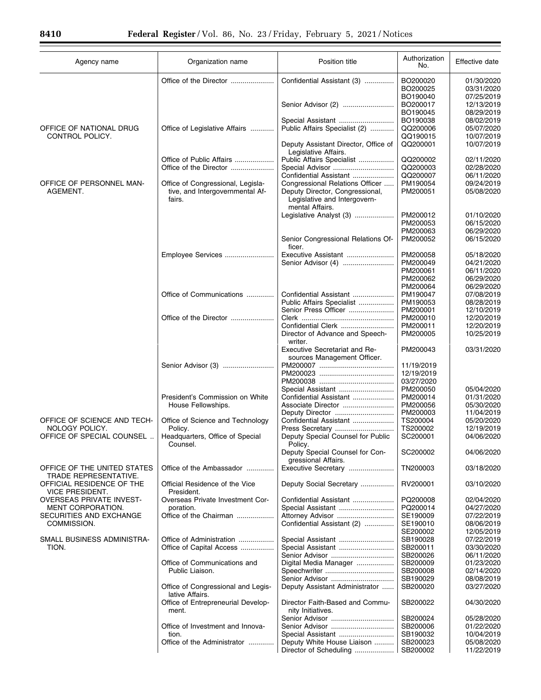| Agency name                                  | Organization name                                     | Position title                                                                     | Authorization<br>No. | Effective date           |
|----------------------------------------------|-------------------------------------------------------|------------------------------------------------------------------------------------|----------------------|--------------------------|
|                                              | Office of the Director                                | Confidential Assistant (3)                                                         | BO200020<br>BO200025 | 01/30/2020<br>03/31/2020 |
|                                              |                                                       | Senior Advisor (2)                                                                 | BO190040<br>BO200017 | 07/25/2019<br>12/13/2019 |
|                                              |                                                       |                                                                                    | BO190045             | 08/29/2019               |
|                                              |                                                       | Special Assistant                                                                  | BO190038             | 08/02/2019               |
| OFFICE OF NATIONAL DRUG<br>CONTROL POLICY.   | Office of Legislative Affairs                         | Public Affairs Specialist (2)                                                      | QQ200006<br>QQ190015 | 05/07/2020<br>10/07/2019 |
|                                              |                                                       | Deputy Assistant Director, Office of<br>Legislative Affairs.                       | QQ200001             | 10/07/2019               |
|                                              | Office of Public Affairs                              | Public Affairs Specialist                                                          | QQ200002             | 02/11/2020               |
|                                              | Office of the Director                                |                                                                                    | QQ200003             | 02/28/2020               |
| OFFICE OF PERSONNEL MAN-                     | Office of Congressional, Legisla-                     | Confidential Assistant<br>Congressional Relations Officer                          | QQ200007<br>PM190054 | 06/11/2020<br>09/24/2019 |
| AGEMENT.                                     | tive, and Intergovernmental Af-<br>fairs.             | Deputy Director, Congressional,<br>Legislative and Intergovern-<br>mental Affairs. | PM200051             | 05/08/2020               |
|                                              |                                                       | Legislative Analyst (3)                                                            | PM200012             | 01/10/2020               |
|                                              |                                                       |                                                                                    | PM200053             | 06/15/2020               |
|                                              |                                                       | Senior Congressional Relations Of-                                                 | PM200063<br>PM200052 | 06/29/2020<br>06/15/2020 |
|                                              |                                                       | ficer.                                                                             |                      |                          |
|                                              | Employee Services                                     | Executive Assistant                                                                | PM200058             | 05/18/2020               |
|                                              |                                                       | Senior Advisor (4)                                                                 | PM200049             | 04/21/2020               |
|                                              |                                                       |                                                                                    | PM200061             | 06/11/2020               |
|                                              |                                                       |                                                                                    | PM200062<br>PM200064 | 06/29/2020<br>06/29/2020 |
|                                              | Office of Communications                              | Confidential Assistant                                                             | PM190047             | 07/08/2019               |
|                                              |                                                       | Public Affairs Specialist                                                          | PM190053             | 08/28/2019               |
|                                              |                                                       | Senior Press Officer                                                               | PM200001             | 12/10/2019               |
|                                              | Office of the Director                                |                                                                                    | PM200010             | 12/20/2019               |
|                                              |                                                       | Confidential Clerk<br>Director of Advance and Speech-                              | PM200011<br>PM200005 | 12/20/2019<br>10/25/2019 |
|                                              |                                                       | writer.                                                                            |                      |                          |
|                                              |                                                       | Executive Secretariat and Re-<br>sources Management Officer.                       | PM200043             | 03/31/2020               |
|                                              |                                                       |                                                                                    | 11/19/2019           |                          |
|                                              |                                                       |                                                                                    | 12/19/2019           |                          |
|                                              |                                                       |                                                                                    | 03/27/2020           |                          |
|                                              | President's Commission on White                       | Special Assistant<br>Confidential Assistant                                        | PM200050<br>PM200014 | 05/04/2020<br>01/31/2020 |
|                                              | House Fellowships.                                    |                                                                                    | PM200056             | 05/30/2020               |
|                                              |                                                       |                                                                                    | PM200003             | 11/04/2019               |
| OFFICE OF SCIENCE AND TECH-                  | Office of Science and Technology                      | Confidential Assistant                                                             | TS200004             | 05/20/2020               |
| NOLOGY POLICY.<br>OFFICE OF SPECIAL COUNSEL  | Policy.                                               | Press Secretary                                                                    | TS200002             | 12/19/2019               |
|                                              | Headquarters, Office of Special<br>Counsel.           | Deputy Special Counsel for Public<br>Policy.<br>Deputy Special Counsel for Con-    | SC200001<br>SC200002 | 04/06/2020<br>04/06/2020 |
| OFFICE OF THE UNITED STATES                  | Office of the Ambassador                              | gressional Affairs.<br>Executive Secretary                                         | TN200003             | 03/18/2020               |
| TRADE REPRESENTATIVE.                        |                                                       |                                                                                    |                      |                          |
| OFFICIAL RESIDENCE OF THE<br>VICE PRESIDENT. | Official Residence of the Vice<br>President.          | Deputy Social Secretary                                                            | RV200001             | 03/10/2020               |
| <b>OVERSEAS PRIVATE INVEST-</b>              | Overseas Private Investment Cor-                      | Confidential Assistant                                                             | PQ200008             | 02/04/2020               |
| MENT CORPORATION.<br>SECURITIES AND EXCHANGE | poration.<br>Office of the Chairman                   | Attorney Advisor                                                                   | PQ200014<br>SE190009 | 04/27/2020<br>07/22/2019 |
| COMMISSION.                                  |                                                       | Confidential Assistant (2)                                                         | SE190010             | 08/06/2019               |
|                                              |                                                       |                                                                                    | SE200002             | 12/05/2019               |
| SMALL BUSINESS ADMINISTRA-                   | Office of Administration                              | Special Assistant                                                                  | SB190028             | 07/22/2019               |
| TION.                                        | Office of Capital Access                              | Special Assistant                                                                  | SB200011             | 03/30/2020               |
|                                              |                                                       | Senior Advisor                                                                     | SB200026             | 06/11/2020               |
|                                              | Office of Communications and<br>Public Liaison.       | Digital Media Manager<br>Speechwriter                                              | SB200009<br>SB200008 | 01/23/2020<br>02/14/2020 |
|                                              |                                                       | Senior Advisor                                                                     | SB190029             | 08/08/2019               |
|                                              | Office of Congressional and Legis-<br>lative Affairs. | Deputy Assistant Administrator                                                     | SB200020             | 03/27/2020               |
|                                              | Office of Entrepreneurial Develop-<br>ment.           | Director Faith-Based and Commu-<br>nity Initiatives.                               | SB200022             | 04/30/2020               |
|                                              |                                                       | Senior Advisor                                                                     | SB200024             | 05/28/2020               |
|                                              | Office of Investment and Innova-                      | Senior Advisor                                                                     | SB200006             | 01/22/2020               |
|                                              | tion.<br>Office of the Administrator                  | Special Assistant<br>Deputy White House Liaison                                    | SB190032<br>SB200023 | 10/04/2019<br>05/08/2020 |
|                                              |                                                       | Director of Scheduling                                                             | SB200002             | 11/22/2019               |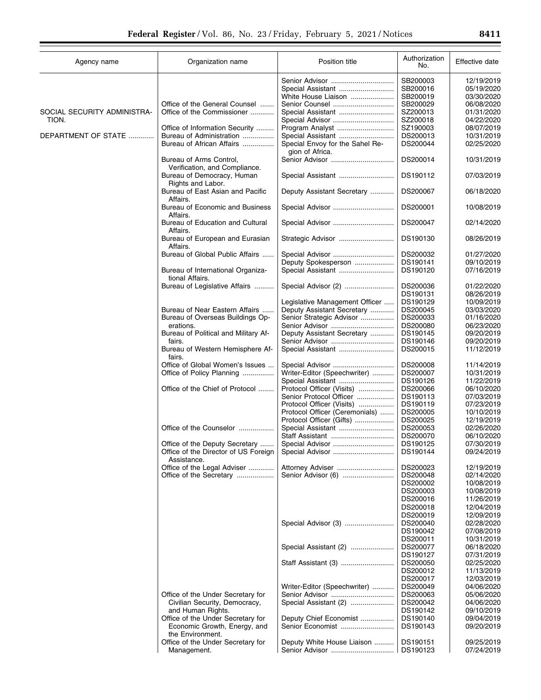$\overline{\phantom{0}}$ 

| Agency name                 | Organization name                                    | Position title                  | Authorization<br>No. | Effective date |
|-----------------------------|------------------------------------------------------|---------------------------------|----------------------|----------------|
|                             |                                                      | Senior Advisor                  | SB200003             | 12/19/2019     |
|                             |                                                      | Special Assistant               | SB200016             | 05/19/2020     |
|                             |                                                      | White House Liaison             | SB200019             | 03/30/2020     |
|                             | Office of the General Counsel                        |                                 | SB200029             | 06/08/2020     |
| SOCIAL SECURITY ADMINISTRA- |                                                      |                                 |                      |                |
|                             | Office of the Commissioner                           | Special Assistant               | SZ200013             | 01/31/2020     |
| TION.                       |                                                      | Special Advisor                 | SZ200018             | 04/22/2020     |
|                             | Office of Information Security                       |                                 | SZ190003             | 08/07/2019     |
| DEPARTMENT OF STATE         | Bureau of Administration                             |                                 | DS200013             | 10/31/2019     |
|                             | Bureau of African Affairs                            | Special Envoy for the Sahel Re- | DS200044             | 02/25/2020     |
|                             |                                                      | gion of Africa.                 |                      |                |
|                             | Bureau of Arms Control,                              | Senior Advisor                  | DS200014             | 10/31/2019     |
|                             | Verification, and Compliance.                        |                                 |                      |                |
|                             | Bureau of Democracy, Human<br>Rights and Labor.      | Special Assistant               | DS190112             | 07/03/2019     |
|                             | Bureau of East Asian and Pacific                     | Deputy Assistant Secretary      | DS200067             | 06/18/2020     |
|                             | Affairs.<br>Bureau of Economic and Business          |                                 | DS200001             | 10/08/2019     |
|                             | Affairs.                                             |                                 |                      |                |
|                             | Bureau of Education and Cultural<br>Affairs.         |                                 | DS200047             | 02/14/2020     |
|                             | Bureau of European and Eurasian                      | Strategic Advisor               | DS190130             | 08/26/2019     |
|                             | Affairs.                                             |                                 |                      |                |
|                             | Bureau of Global Public Affairs                      |                                 | DS200032             | 01/27/2020     |
|                             |                                                      | Deputy Spokesperson             | DS190141             | 09/10/2019     |
|                             | Bureau of International Organiza-<br>tional Affairs. | Special Assistant               | DS190120             | 07/16/2019     |
|                             | Bureau of Legislative Affairs                        | Special Advisor (2)             | DS200036             | 01/22/2020     |
|                             |                                                      |                                 | DS190131             | 08/26/2019     |
|                             |                                                      | Legislative Management Officer  | DS190129             | 10/09/2019     |
|                             | Bureau of Near Eastern Affairs                       | Deputy Assistant Secretary      | DS200045             | 03/03/2020     |
|                             | Bureau of Overseas Buildings Op-                     | Senior Strategic Advisor        | DS200033             | 01/16/2020     |
|                             | erations.                                            |                                 | DS200080             | 06/23/2020     |
|                             |                                                      |                                 |                      |                |
|                             | Bureau of Political and Military Af-                 | Deputy Assistant Secretary      | DS190145             | 09/20/2019     |
|                             | fairs.                                               | Senior Advisor                  | DS190146             | 09/20/2019     |
|                             | Bureau of Western Hemisphere Af-<br>fairs.           | Special Assistant               | DS200015             | 11/12/2019     |
|                             | Office of Global Women's Issues                      |                                 | DS200008             | 11/14/2019     |
|                             | Office of Policy Planning                            | Writer-Editor (Speechwriter)    | DS200007             | 10/31/2019     |
|                             |                                                      |                                 | DS190126             | 11/22/2019     |
|                             | Office of the Chief of Protocol                      | Protocol Officer (Visits)       | DS200066             | 06/10/2020     |
|                             |                                                      | Senior Protocol Officer         |                      | 07/03/2019     |
|                             |                                                      |                                 | DS190113             |                |
|                             |                                                      | Protocol Officer (Visits)       | DS190119             | 07/23/2019     |
|                             |                                                      | Protocol Officer (Ceremonials)  | DS200005             | 10/10/2019     |
|                             |                                                      | Protocol Officer (Gifts)        | DS200025             | 12/19/2019     |
|                             | Office of the Counselor                              |                                 | DS200053             | 02/26/2020     |
|                             |                                                      |                                 | DS200070             | 06/10/2020     |
|                             | Office of the Deputy Secretary                       | Special Advisor                 | DS190125             | 07/30/2019     |
|                             | Office of the Director of US Foreign                 |                                 | DS190144             | 09/24/2019     |
|                             | Assistance.                                          |                                 |                      |                |
|                             | Office of the Legal Adviser                          | Attorney Adviser                | DS200023             | 12/19/2019     |
|                             | Office of the Secretary                              |                                 | DS200048             | 02/14/2020     |
|                             |                                                      |                                 | DS200002             | 10/08/2019     |
|                             |                                                      |                                 | DS200003             | 10/08/2019     |
|                             |                                                      |                                 | DS200016             | 11/26/2019     |
|                             |                                                      |                                 | DS200018             | 12/04/2019     |
|                             |                                                      |                                 | DS200019             | 12/09/2019     |
|                             |                                                      | Special Advisor (3)             | DS200040             | 02/28/2020     |
|                             |                                                      |                                 | DS190042             | 07/08/2019     |
|                             |                                                      |                                 | DS200011             | 10/31/2019     |
|                             |                                                      | Special Assistant (2)           | DS200077             | 06/18/2020     |
|                             |                                                      |                                 | DS190127             | 07/31/2019     |
|                             |                                                      |                                 | DS200050             | 02/25/2020     |
|                             |                                                      |                                 | DS200012             | 11/13/2019     |
|                             |                                                      |                                 | DS200017             | 12/03/2019     |
|                             |                                                      |                                 |                      |                |
|                             |                                                      | Writer-Editor (Speechwriter)    | DS200049             | 04/06/2020     |
|                             | Office of the Under Secretary for                    |                                 | DS200063             | 05/06/2020     |
|                             | Civilian Security, Democracy,                        | Special Assistant (2)           | DS200042             | 04/06/2020     |
|                             | and Human Rights.                                    |                                 | DS190142             | 09/10/2019     |
|                             | Office of the Under Secretary for                    | Deputy Chief Economist          | DS190140             | 09/04/2019     |
|                             | Economic Growth, Energy, and                         | Senior Economist                | DS190143             | 09/20/2019     |
|                             | the Environment.                                     |                                 |                      |                |
|                             | Office of the Under Secretary for                    | Deputy White House Liaison      | DS190151             | 09/25/2019     |
|                             | Management.                                          |                                 | DS190123             | 07/24/2019     |
|                             |                                                      |                                 |                      |                |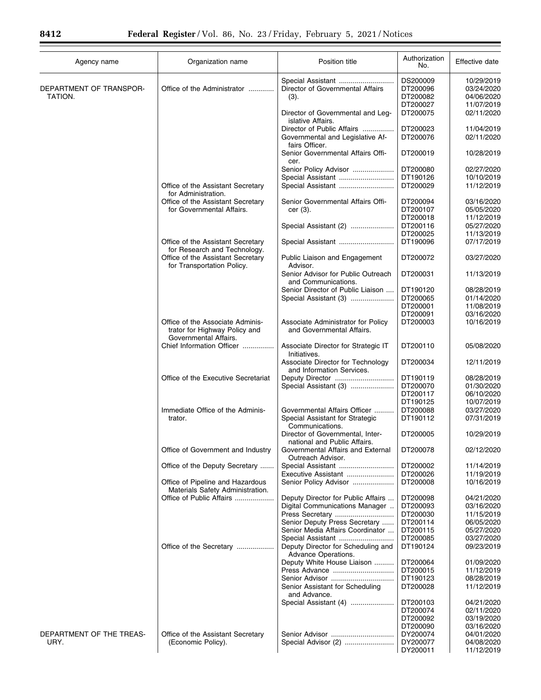| Agency name                        | Organization name                                                                          | Position title                                                                   | Authorization<br>No.             | Effective date                         |
|------------------------------------|--------------------------------------------------------------------------------------------|----------------------------------------------------------------------------------|----------------------------------|----------------------------------------|
| DEPARTMENT OF TRANSPOR-<br>TATION. | Office of the Administrator                                                                | Director of Governmental Affairs<br>(3).                                         | DS200009<br>DT200096<br>DT200082 | 10/29/2019<br>03/24/2020<br>04/06/2020 |
|                                    |                                                                                            |                                                                                  | DT200027                         | 11/07/2019                             |
|                                    |                                                                                            | Director of Governmental and Leg-<br>islative Affairs.                           | DT200075                         | 02/11/2020                             |
|                                    |                                                                                            | Director of Public Affairs<br>Governmental and Legislative Af-<br>fairs Officer. | DT200023<br>DT200076             | 11/04/2019<br>02/11/2020               |
|                                    |                                                                                            | Senior Governmental Affairs Offi-<br>cer.                                        | DT200019                         | 10/28/2019                             |
|                                    |                                                                                            | Senior Policy Advisor                                                            | DT200080                         | 02/27/2020                             |
|                                    |                                                                                            | Special Assistant                                                                | DT190126                         | 10/10/2019                             |
|                                    | Office of the Assistant Secretary<br>for Administration.                                   | Special Assistant                                                                | DT200029                         | 11/12/2019                             |
|                                    | Office of the Assistant Secretary                                                          | Senior Governmental Affairs Offi-                                                | DT200094                         | 03/16/2020                             |
|                                    | for Governmental Affairs.                                                                  | $cer(3)$ .                                                                       | DT200107                         | 05/05/2020                             |
|                                    |                                                                                            |                                                                                  | DT200018                         | 11/12/2019                             |
|                                    |                                                                                            | Special Assistant (2)                                                            | DT200116                         | 05/27/2020                             |
|                                    |                                                                                            |                                                                                  | DT200025                         | 11/13/2019                             |
|                                    | Office of the Assistant Secretary<br>for Research and Technology.                          | Special Assistant                                                                | DT190096                         | 07/17/2019                             |
|                                    | Office of the Assistant Secretary<br>for Transportation Policy.                            | Public Liaison and Engagement<br>Advisor.                                        | DT200072                         | 03/27/2020                             |
|                                    |                                                                                            | Senior Advisor for Public Outreach<br>and Communications.                        | DT200031                         | 11/13/2019                             |
|                                    |                                                                                            | Senior Director of Public Liaison                                                | DT190120                         | 08/28/2019                             |
|                                    |                                                                                            | Special Assistant (3)                                                            | DT200065                         | 01/14/2020                             |
|                                    |                                                                                            |                                                                                  | DT200001                         | 11/08/2019                             |
|                                    |                                                                                            |                                                                                  | DT200091                         | 03/16/2020                             |
|                                    | Office of the Associate Adminis-<br>trator for Highway Policy and<br>Governmental Affairs. | Associate Administrator for Policy<br>and Governmental Affairs.                  | DT200003                         | 10/16/2019                             |
|                                    | Chief Information Officer                                                                  | Associate Director for Strategic IT                                              | DT200110                         | 05/08/2020                             |
|                                    |                                                                                            | Initiatives.<br>Associate Director for Technology                                | DT200034                         | 12/11/2019                             |
|                                    | Office of the Executive Secretariat                                                        | and Information Services.<br>Deputy Director                                     | DT190119                         | 08/28/2019                             |
|                                    |                                                                                            | Special Assistant (3)                                                            | DT200070                         | 01/30/2020                             |
|                                    |                                                                                            |                                                                                  | DT200117                         | 06/10/2020                             |
|                                    |                                                                                            |                                                                                  | DT190125                         | 10/07/2019                             |
|                                    | Immediate Office of the Adminis-                                                           | Governmental Affairs Officer                                                     | DT200088                         | 03/27/2020                             |
|                                    | trator.                                                                                    | Special Assistant for Strategic<br>Communications.                               | DT190112                         | 07/31/2019                             |
|                                    |                                                                                            | Director of Governmental, Inter-<br>national and Public Affairs.                 | DT200005                         | 10/29/2019                             |
|                                    | Office of Government and Industry                                                          | Governmental Affairs and External<br>Outreach Advisor.                           | DT200078                         | 02/12/2020                             |
|                                    | Office of the Deputy Secretary                                                             |                                                                                  | DT200002                         | 11/14/2019                             |
|                                    |                                                                                            | Executive Assistant                                                              | DT200026                         | 11/19/2019                             |
|                                    | Office of Pipeline and Hazardous<br>Materials Safety Administration.                       | Senior Policy Advisor                                                            | DT200008                         | 10/16/2019                             |
|                                    | Office of Public Affairs                                                                   | Deputy Director for Public Affairs                                               | DT200098                         | 04/21/2020                             |
|                                    |                                                                                            | Digital Communications Manager                                                   | DT200093                         | 03/16/2020                             |
|                                    |                                                                                            | Press Secretary                                                                  | DT200030                         | 11/15/2019                             |
|                                    |                                                                                            | Senior Deputy Press Secretary                                                    | DT200114                         | 06/05/2020                             |
|                                    |                                                                                            | Senior Media Affairs Coordinator                                                 | DT200115                         | 05/27/2020                             |
|                                    |                                                                                            |                                                                                  | DT200085                         | 03/27/2020                             |
|                                    | Office of the Secretary                                                                    | Deputy Director for Scheduling and<br>Advance Operations.                        | DT190124                         | 09/23/2019                             |
|                                    |                                                                                            | Deputy White House Liaison                                                       | DT200064                         | 01/09/2020                             |
|                                    |                                                                                            | Press Advance                                                                    | DT200015                         | 11/12/2019                             |
|                                    |                                                                                            | Senior Assistant for Scheduling                                                  | DT190123<br>DT200028             | 08/28/2019<br>11/12/2019               |
|                                    |                                                                                            | and Advance.                                                                     |                                  |                                        |
|                                    |                                                                                            | Special Assistant (4)                                                            | DT200103<br>DT200074             | 04/21/2020<br>02/11/2020               |
|                                    |                                                                                            |                                                                                  | DT200092                         | 03/19/2020                             |
|                                    |                                                                                            |                                                                                  | DT200090                         | 03/16/2020                             |
| DEPARTMENT OF THE TREAS-           | Office of the Assistant Secretary                                                          |                                                                                  | DY200074                         | 04/01/2020                             |
| URY.                               | (Economic Policy).                                                                         | Special Advisor (2)                                                              | DY200077                         | 04/08/2020                             |
|                                    |                                                                                            |                                                                                  | DY200011                         | 11/12/2019                             |